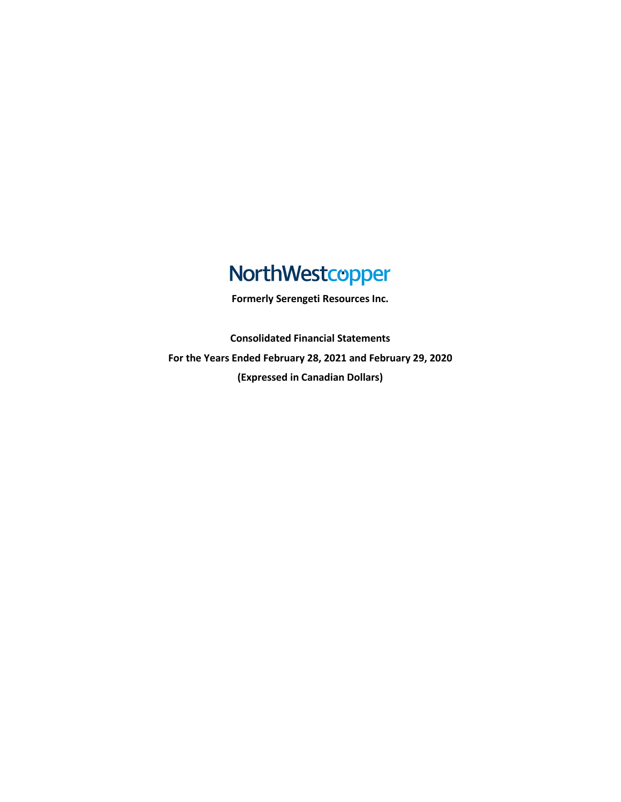# NorthWestcopper

**Formerly Serengeti Resources Inc.**

**Consolidated Financial Statements For the Years Ended February 28, 2021 and February 29, 2020 (Expressed in Canadian Dollars)**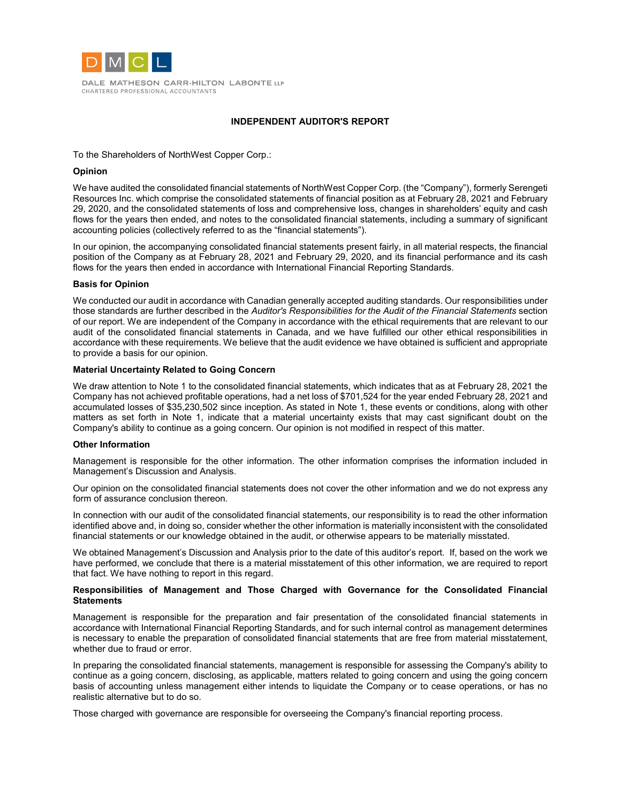

DALE MATHESON CARR-HILTON LABONTE LLP CHARTERED PROFESSIONAL ACCOUNTANTS

## **INDEPENDENT AUDITOR'S REPORT**

To the Shareholders of NorthWest Copper Corp.:

## **Opinion**

We have audited the consolidated financial statements of NorthWest Copper Corp. (the "Company"), formerly Serengeti Resources Inc. which comprise the consolidated statements of financial position as at February 28, 2021 and February 29, 2020, and the consolidated statements of loss and comprehensive loss, changes in shareholders' equity and cash flows for the years then ended, and notes to the consolidated financial statements, including a summary of significant accounting policies (collectively referred to as the "financial statements").

In our opinion, the accompanying consolidated financial statements present fairly, in all material respects, the financial position of the Company as at February 28, 2021 and February 29, 2020, and its financial performance and its cash flows for the years then ended in accordance with International Financial Reporting Standards.

## **Basis for Opinion**

We conducted our audit in accordance with Canadian generally accepted auditing standards. Our responsibilities under those standards are further described in the *Auditor's Responsibilities for the Audit of the Financial Statements* section of our report. We are independent of the Company in accordance with the ethical requirements that are relevant to our audit of the consolidated financial statements in Canada, and we have fulfilled our other ethical responsibilities in accordance with these requirements. We believe that the audit evidence we have obtained is sufficient and appropriate to provide a basis for our opinion.

#### **Material Uncertainty Related to Going Concern**

We draw attention to Note 1 to the consolidated financial statements, which indicates that as at February 28, 2021 the Company has not achieved profitable operations, had a net loss of \$701,524 for the year ended February 28, 2021 and accumulated losses of \$35,230,502 since inception. As stated in Note 1, these events or conditions, along with other matters as set forth in Note 1, indicate that a material uncertainty exists that may cast significant doubt on the Company's ability to continue as a going concern. Our opinion is not modified in respect of this matter.

#### **Other Information**

Management is responsible for the other information. The other information comprises the information included in Management's Discussion and Analysis.

Our opinion on the consolidated financial statements does not cover the other information and we do not express any form of assurance conclusion thereon.

In connection with our audit of the consolidated financial statements, our responsibility is to read the other information identified above and, in doing so, consider whether the other information is materially inconsistent with the consolidated financial statements or our knowledge obtained in the audit, or otherwise appears to be materially misstated.

We obtained Management's Discussion and Analysis prior to the date of this auditor's report. If, based on the work we have performed, we conclude that there is a material misstatement of this other information, we are required to report that fact. We have nothing to report in this regard.

#### **Responsibilities of Management and Those Charged with Governance for the Consolidated Financial Statements**

Management is responsible for the preparation and fair presentation of the consolidated financial statements in accordance with International Financial Reporting Standards, and for such internal control as management determines is necessary to enable the preparation of consolidated financial statements that are free from material misstatement, whether due to fraud or error.

In preparing the consolidated financial statements, management is responsible for assessing the Company's ability to continue as a going concern, disclosing, as applicable, matters related to going concern and using the going concern basis of accounting unless management either intends to liquidate the Company or to cease operations, or has no realistic alternative but to do so.

Those charged with governance are responsible for overseeing the Company's financial reporting process.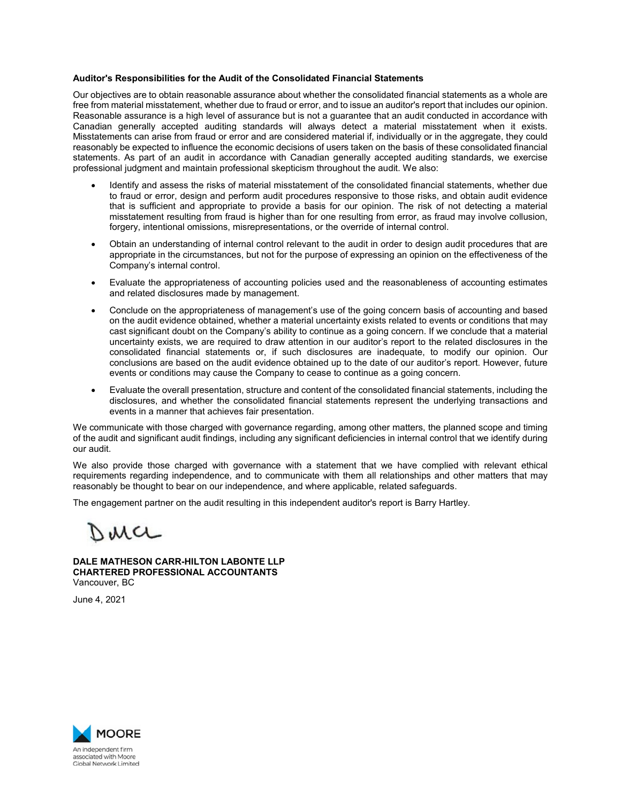## **Auditor's Responsibilities for the Audit of the Consolidated Financial Statements**

Our objectives are to obtain reasonable assurance about whether the consolidated financial statements as a whole are free from material misstatement, whether due to fraud or error, and to issue an auditor's report that includes our opinion. Reasonable assurance is a high level of assurance but is not a guarantee that an audit conducted in accordance with Canadian generally accepted auditing standards will always detect a material misstatement when it exists. Misstatements can arise from fraud or error and are considered material if, individually or in the aggregate, they could reasonably be expected to influence the economic decisions of users taken on the basis of these consolidated financial statements. As part of an audit in accordance with Canadian generally accepted auditing standards, we exercise professional judgment and maintain professional skepticism throughout the audit. We also:

- Identify and assess the risks of material misstatement of the consolidated financial statements, whether due to fraud or error, design and perform audit procedures responsive to those risks, and obtain audit evidence that is sufficient and appropriate to provide a basis for our opinion. The risk of not detecting a material misstatement resulting from fraud is higher than for one resulting from error, as fraud may involve collusion, forgery, intentional omissions, misrepresentations, or the override of internal control.
- Obtain an understanding of internal control relevant to the audit in order to design audit procedures that are appropriate in the circumstances, but not for the purpose of expressing an opinion on the effectiveness of the Company's internal control.
- Evaluate the appropriateness of accounting policies used and the reasonableness of accounting estimates and related disclosures made by management.
- Conclude on the appropriateness of management's use of the going concern basis of accounting and based on the audit evidence obtained, whether a material uncertainty exists related to events or conditions that may cast significant doubt on the Company's ability to continue as a going concern. If we conclude that a material uncertainty exists, we are required to draw attention in our auditor's report to the related disclosures in the consolidated financial statements or, if such disclosures are inadequate, to modify our opinion. Our conclusions are based on the audit evidence obtained up to the date of our auditor's report. However, future events or conditions may cause the Company to cease to continue as a going concern.
- Evaluate the overall presentation, structure and content of the consolidated financial statements, including the disclosures, and whether the consolidated financial statements represent the underlying transactions and events in a manner that achieves fair presentation.

We communicate with those charged with governance regarding, among other matters, the planned scope and timing of the audit and significant audit findings, including any significant deficiencies in internal control that we identify during our audit.

We also provide those charged with governance with a statement that we have complied with relevant ethical requirements regarding independence, and to communicate with them all relationships and other matters that may reasonably be thought to bear on our independence, and where applicable, related safeguards.

The engagement partner on the audit resulting in this independent auditor's report is Barry Hartley*.*

NMCL

**DALE MATHESON CARR-HILTON LABONTE LLP CHARTERED PROFESSIONAL ACCOUNTANTS** Vancouver, BC

June 4, 2021

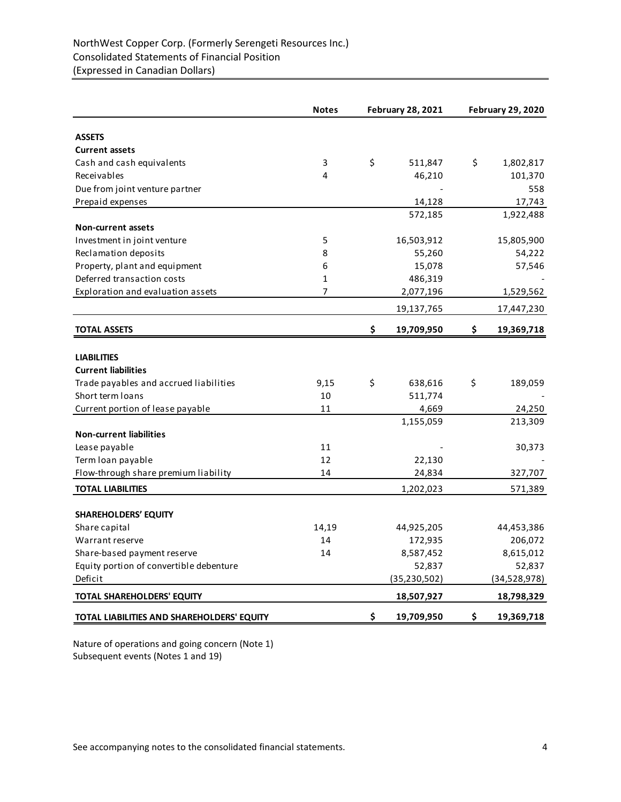|                                                    | <b>Notes</b>   | <b>February 28, 2021</b> | <b>February 29, 2020</b> |                       |  |
|----------------------------------------------------|----------------|--------------------------|--------------------------|-----------------------|--|
| <b>ASSETS</b>                                      |                |                          |                          |                       |  |
| <b>Current assets</b>                              |                |                          |                          |                       |  |
| Cash and cash equivalents                          | 3              | \$<br>511,847            | \$                       | 1,802,817             |  |
| Receivables                                        | 4              | 46,210                   |                          | 101,370               |  |
| Due from joint venture partner                     |                |                          |                          | 558                   |  |
| Prepaid expenses                                   |                | 14,128                   |                          | 17,743                |  |
|                                                    |                | 572,185                  |                          | 1,922,488             |  |
| <b>Non-current assets</b>                          |                |                          |                          |                       |  |
| Investment in joint venture                        | 5              | 16,503,912               |                          | 15,805,900            |  |
| Reclamation deposits                               | 8              | 55,260                   |                          | 54,222                |  |
| Property, plant and equipment                      | 6              | 15,078                   |                          | 57,546                |  |
| Deferred transaction costs                         | $\mathbf{1}$   | 486,319                  |                          |                       |  |
| Exploration and evaluation assets                  | $\overline{7}$ | 2,077,196                |                          | 1,529,562             |  |
|                                                    |                | 19,137,765               |                          | 17,447,230            |  |
| <b>TOTAL ASSETS</b>                                |                | \$<br>19,709,950         | \$                       | 19,369,718            |  |
|                                                    |                |                          |                          |                       |  |
| <b>LIABILITIES</b>                                 |                |                          |                          |                       |  |
| <b>Current liabilities</b>                         |                |                          |                          |                       |  |
| Trade payables and accrued liabilities             | 9,15           | \$<br>638,616            | \$                       | 189,059               |  |
| Short term loans                                   | 10             | 511,774                  |                          |                       |  |
| Current portion of lease payable                   | 11             | 4,669                    |                          | 24,250                |  |
|                                                    |                | 1,155,059                |                          | 213,309               |  |
| <b>Non-current liabilities</b>                     |                |                          |                          |                       |  |
| Lease payable                                      | 11             |                          |                          | 30,373                |  |
| Term loan payable                                  | 12             | 22,130                   |                          |                       |  |
| Flow-through share premium liability               | 14             | 24,834                   |                          | 327,707               |  |
| <b>TOTAL LIABILITIES</b>                           |                | 1,202,023                |                          | 571,389               |  |
|                                                    |                |                          |                          |                       |  |
| <b>SHAREHOLDERS' EQUITY</b>                        |                |                          |                          |                       |  |
| Share capital                                      | 14,19<br>14    | 44,925,205<br>172,935    |                          | 44,453,386<br>206,072 |  |
| Warrant reserve                                    | 14             | 8,587,452                |                          | 8,615,012             |  |
| Share-based payment reserve                        |                |                          |                          |                       |  |
| Equity portion of convertible debenture<br>Deficit |                | 52,837                   |                          | 52,837                |  |
|                                                    |                | (35, 230, 502)           |                          | (34,528,978)          |  |
| TOTAL SHAREHOLDERS' EQUITY                         |                | 18,507,927               |                          | 18,798,329            |  |
| TOTAL LIABILITIES AND SHAREHOLDERS' EQUITY         |                | \$<br>19,709,950         | \$                       | 19,369,718            |  |

Nature of operations and going concern (Note 1) Subsequent events (Notes 1 and 19)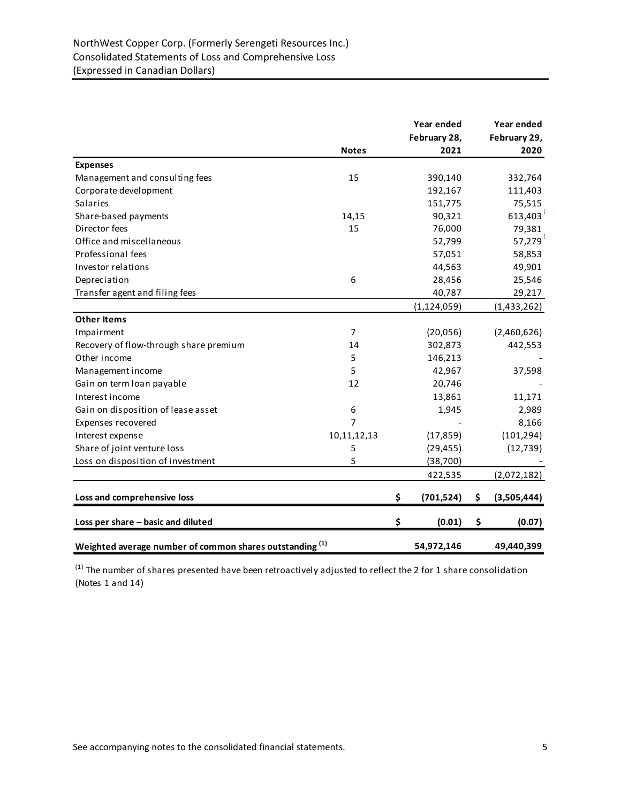|                                                                     |                  | Year ended           | Year ended           |
|---------------------------------------------------------------------|------------------|----------------------|----------------------|
|                                                                     | <b>Notes</b>     | February 28,<br>2021 | February 29,<br>2020 |
| <b>Expenses</b>                                                     |                  |                      |                      |
| Management and consulting fees                                      | 15               | 390,140              | 332,764              |
| Corporate development                                               |                  | 192,167              | 111,403              |
| <b>Salaries</b>                                                     |                  | 151,775              | 75,515               |
|                                                                     |                  |                      |                      |
| Share-based payments<br>Director fees                               | 14,15<br>15      | 90,321               | 613,403              |
| Office and miscellaneous                                            |                  | 76,000               | 79,381               |
|                                                                     |                  | 52,799               | 57,279               |
| Professional fees                                                   |                  | 57,051               | 58,853               |
| Investor relations                                                  |                  | 44,563               | 49,901               |
| Depreciation                                                        | 6                | 28,456               | 25,546               |
| Transfer agent and filing fees                                      |                  | 40,787               | 29,217               |
|                                                                     |                  | (1, 124, 059)        | (1,433,262)          |
| <b>Other Items</b>                                                  |                  |                      |                      |
| Impairment                                                          | $\overline{7}$   | (20,056)             | (2,460,626)          |
| Recovery of flow-through share premium                              | 14               | 302,873              | 442,553              |
| Other income                                                        | 5                | 146,213              |                      |
| Management income                                                   | 5                | 42,967               | 37,598               |
| Gain on term loan payable                                           | 12               | 20,746               |                      |
| Interest income                                                     |                  | 13,861               | 11,171               |
| Gain on disposition of lease asset                                  | $\boldsymbol{6}$ | 1,945                | 2,989                |
| Expenses recovered                                                  | $\overline{7}$   |                      | 8,166                |
| Interest expense                                                    | 10,11,12,13      | (17, 859)            | (101, 294)           |
| Share of joint venture loss                                         | 5                | (29, 455)            | (12, 739)            |
| Loss on disposition of investment                                   | 5                | (38, 700)            |                      |
|                                                                     |                  | 422,535              | (2,072,182)          |
| Loss and comprehensive loss                                         |                  | \$<br>(701, 524)     | \$<br>(3,505,444)    |
| Loss per share - basic and diluted                                  |                  | \$<br>(0.01)         | \$<br>(0.07)         |
| Weighted average number of common shares outstanding <sup>(1)</sup> |                  | 54,972,146           | 49,440,399           |

 $(1)$  The number of shares presented have been retroactively adjusted to reflect the 2 for 1 share consolidation (Notes 1 and 14)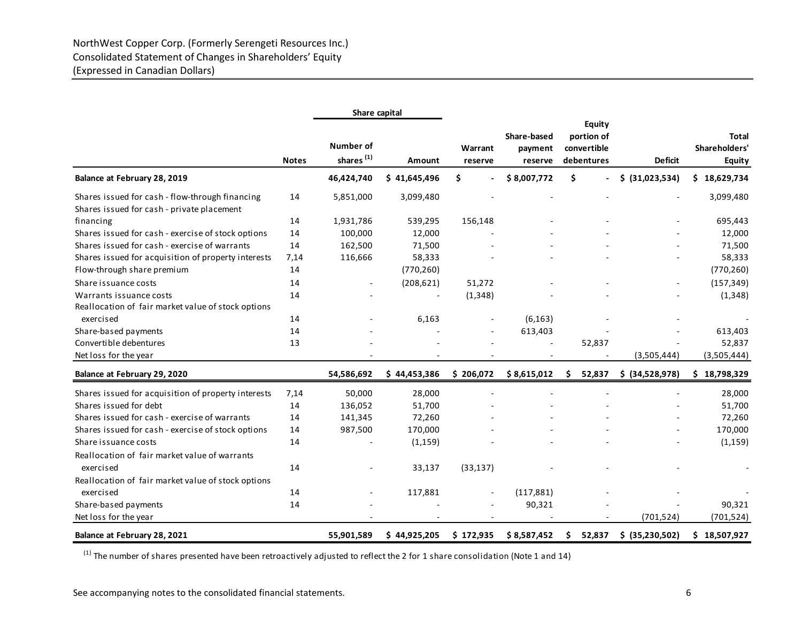|                                                                                               |              | Share capital                             |              |                    |                                   |                                                          |                 |                                                |
|-----------------------------------------------------------------------------------------------|--------------|-------------------------------------------|--------------|--------------------|-----------------------------------|----------------------------------------------------------|-----------------|------------------------------------------------|
|                                                                                               | <b>Notes</b> | <b>Number of</b><br>shares <sup>(1)</sup> | Amount       | Warrant<br>reserve | Share-based<br>payment<br>reserve | <b>Equity</b><br>portion of<br>convertible<br>debentures | <b>Deficit</b>  | <b>Total</b><br>Shareholders'<br><b>Equity</b> |
| Balance at February 28, 2019                                                                  |              | 46,424,740                                | \$41,645,496 | \$                 | \$8,007,772                       | \$                                                       | \$ (31,023,534) | \$<br>18,629,734                               |
| Shares issued for cash - flow-through financing<br>Shares issued for cash - private placement | 14           | 5,851,000                                 | 3,099,480    |                    |                                   |                                                          |                 | 3,099,480                                      |
| financing                                                                                     | 14           | 1,931,786                                 | 539,295      | 156,148            |                                   |                                                          |                 | 695,443                                        |
| Shares issued for cash - exercise of stock options                                            | 14           | 100,000                                   | 12,000       |                    |                                   |                                                          |                 | 12,000                                         |
| Shares issued for cash - exercise of warrants                                                 | 14           | 162,500                                   | 71,500       |                    |                                   |                                                          |                 | 71,500                                         |
| Shares issued for acquisition of property interests                                           | 7,14         | 116,666                                   | 58,333       |                    |                                   |                                                          |                 | 58,333                                         |
| Flow-through share premium                                                                    | 14           |                                           | (770, 260)   |                    |                                   |                                                          |                 | (770, 260)                                     |
| Share issuance costs                                                                          | 14           |                                           | (208, 621)   | 51,272             |                                   |                                                          |                 | (157, 349)                                     |
| Warrants issuance costs                                                                       | 14           |                                           |              | (1, 348)           |                                   |                                                          |                 | (1, 348)                                       |
| Reallocation of fair market value of stock options                                            |              |                                           |              |                    |                                   |                                                          |                 |                                                |
| exercised                                                                                     | 14           |                                           | 6,163        |                    | (6, 163)                          |                                                          |                 |                                                |
| Share-based payments                                                                          | 14           |                                           |              |                    | 613,403                           |                                                          |                 | 613,403                                        |
| Convertible debentures                                                                        | 13           |                                           |              |                    |                                   | 52,837                                                   |                 | 52,837                                         |
| Net loss for the year                                                                         |              |                                           |              |                    |                                   |                                                          | (3,505,444)     | (3,505,444)                                    |
| Balance at February 29, 2020                                                                  |              | 54,586,692                                | \$44,453,386 | \$206,072          | \$8,615,012                       | \$<br>52,837                                             | \$ (34,528,978) | \$18,798,329                                   |
| Shares issued for acquisition of property interests                                           | 7,14         | 50,000                                    | 28,000       |                    |                                   |                                                          |                 | 28,000                                         |
| Shares issued for debt                                                                        | 14           | 136,052                                   | 51,700       |                    |                                   |                                                          |                 | 51,700                                         |
| Shares issued for cash - exercise of warrants                                                 | 14           | 141,345                                   | 72,260       |                    |                                   |                                                          |                 | 72,260                                         |
| Shares issued for cash - exercise of stock options                                            | 14           | 987,500                                   | 170,000      |                    |                                   |                                                          |                 | 170,000                                        |
| Share issuance costs                                                                          | 14           |                                           | (1, 159)     |                    |                                   |                                                          |                 | (1, 159)                                       |
| Reallocation of fair market value of warrants                                                 | 14           |                                           |              |                    |                                   |                                                          |                 |                                                |
| exercised                                                                                     |              |                                           | 33,137       | (33, 137)          |                                   |                                                          |                 |                                                |
| Reallocation of fair market value of stock options                                            |              |                                           |              |                    |                                   |                                                          |                 |                                                |
| exercised                                                                                     | 14           |                                           | 117,881      | $\blacksquare$     | (117, 881)                        |                                                          |                 |                                                |
| Share-based payments                                                                          | 14           |                                           |              |                    | 90,321                            |                                                          |                 | 90,321                                         |
| Net loss for the year                                                                         |              |                                           |              | ٠                  |                                   |                                                          | (701, 524)      | (701, 524)                                     |
| Balance at February 28, 2021                                                                  |              | 55,901,589                                | \$44,925,205 | \$172,935          | \$8,587,452                       | 52,837<br>\$                                             | \$ (35,230,502) | \$18,507,927                                   |

 $(1)$  The number of shares presented have been retroactively adjusted to reflect the 2 for 1 share consolidation (Note 1 and 14)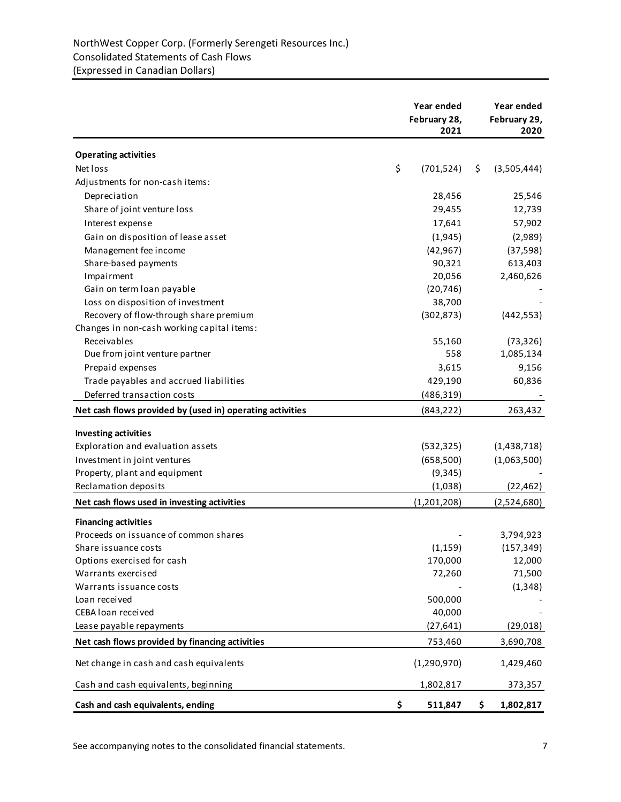|                                                           | Year ended<br>February 28,<br>2021 | Year ended<br>February 29,<br>2020 |
|-----------------------------------------------------------|------------------------------------|------------------------------------|
| <b>Operating activities</b>                               |                                    |                                    |
| Net loss                                                  | \$<br>(701, 524)                   | \$<br>(3,505,444)                  |
| Adjustments for non-cash items:                           |                                    |                                    |
| Depreciation                                              | 28,456                             | 25,546                             |
| Share of joint venture loss                               | 29,455                             | 12,739                             |
| Interest expense                                          | 17,641                             | 57,902                             |
| Gain on disposition of lease asset                        | (1,945)                            | (2,989)                            |
| Management fee income                                     | (42, 967)                          | (37, 598)                          |
| Share-based payments                                      | 90,321                             | 613,403                            |
| Impairment                                                | 20,056                             | 2,460,626                          |
| Gain on term loan payable                                 | (20, 746)                          |                                    |
| Loss on disposition of investment                         | 38,700                             |                                    |
| Recovery of flow-through share premium                    | (302, 873)                         | (442, 553)                         |
| Changes in non-cash working capital items:                |                                    |                                    |
| Receivables                                               | 55,160                             | (73, 326)                          |
| Due from joint venture partner                            | 558                                | 1,085,134                          |
| Prepaid expenses                                          | 3,615                              | 9,156                              |
| Trade payables and accrued liabilities                    | 429,190                            | 60,836                             |
| Deferred transaction costs                                | (486, 319)                         |                                    |
| Net cash flows provided by (used in) operating activities | (843, 222)                         | 263,432                            |
| <b>Investing activities</b>                               |                                    |                                    |
| Exploration and evaluation assets                         | (532, 325)                         | (1,438,718)                        |
| Investment in joint ventures                              | (658, 500)                         | (1,063,500)                        |
| Property, plant and equipment                             | (9, 345)                           |                                    |
| Reclamation deposits                                      | (1,038)                            | (22, 462)                          |
| Net cash flows used in investing activities               | (1,201,208)                        | (2,524,680)                        |
| <b>Financing activities</b>                               |                                    |                                    |
| Proceeds on issuance of common shares                     |                                    | 3,794,923                          |
| Share issuance costs                                      | (1, 159)                           | (157, 349)                         |
| Options exercised for cash                                | 170,000                            | 12,000                             |
| Warrants exercised                                        | 72,260                             | 71,500                             |
| Warrants issuance costs                                   |                                    | (1, 348)                           |
| Loan received                                             | 500,000                            |                                    |
| CEBA loan received                                        | 40,000                             |                                    |
| Lease payable repayments                                  | (27, 641)                          | (29, 018)                          |
| Net cash flows provided by financing activities           | 753,460                            | 3,690,708                          |
| Net change in cash and cash equivalents                   | (1, 290, 970)                      | 1,429,460                          |
| Cash and cash equivalents, beginning                      | 1,802,817                          | 373,357                            |
| Cash and cash equivalents, ending                         | \$<br>511,847                      | \$<br>1,802,817                    |

See accompanying notes to the consolidated financial statements. The accompanying notes to the consolidated financial statements.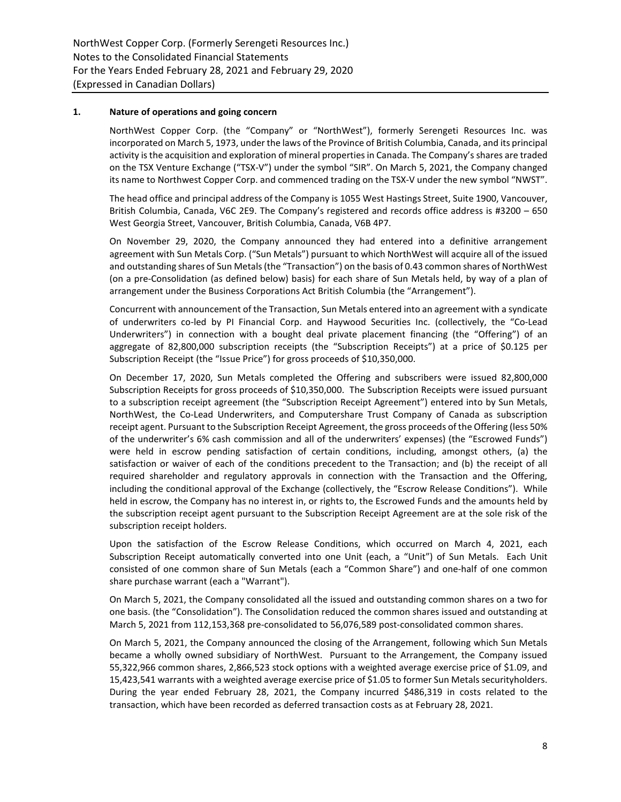# **1. Nature of operations and going concern**

NorthWest Copper Corp. (the "Company" or "NorthWest"), formerly Serengeti Resources Inc. was incorporated on March 5, 1973, under the laws of the Province of British Columbia, Canada, and its principal activity is the acquisition and exploration of mineral properties in Canada. The Company's shares are traded on the TSX Venture Exchange ("TSX-V") under the symbol "SIR". On March 5, 2021, the Company changed its name to Northwest Copper Corp. and commenced trading on the TSX-V under the new symbol "NWST".

The head office and principal address of the Company is 1055 West Hastings Street, Suite 1900, Vancouver, British Columbia, Canada, V6C 2E9. The Company's registered and records office address is #3200 – 650 West Georgia Street, Vancouver, British Columbia, Canada, V6B 4P7.

On November 29, 2020, the Company announced they had entered into a definitive arrangement agreement with Sun Metals Corp. ("Sun Metals") pursuant to which NorthWest will acquire all of the issued and outstanding shares of Sun Metals (the "Transaction") on the basis of 0.43 common shares of NorthWest (on a pre-Consolidation (as defined below) basis) for each share of Sun Metals held, by way of a plan of arrangement under the Business Corporations Act British Columbia (the "Arrangement").

Concurrent with announcement of the Transaction, Sun Metals entered into an agreement with a syndicate of underwriters co-led by PI Financial Corp. and Haywood Securities Inc. (collectively, the "Co-Lead Underwriters") in connection with a bought deal private placement financing (the "Offering") of an aggregate of 82,800,000 subscription receipts (the "Subscription Receipts") at a price of \$0.125 per Subscription Receipt (the "Issue Price") for gross proceeds of \$10,350,000.

On December 17, 2020, Sun Metals completed the Offering and subscribers were issued 82,800,000 Subscription Receipts for gross proceeds of \$10,350,000. The Subscription Receipts were issued pursuant to a subscription receipt agreement (the "Subscription Receipt Agreement") entered into by Sun Metals, NorthWest, the Co-Lead Underwriters, and Computershare Trust Company of Canada as subscription receipt agent. Pursuant to the Subscription Receipt Agreement, the gross proceeds of the Offering (less 50% of the underwriter's 6% cash commission and all of the underwriters' expenses) (the "Escrowed Funds") were held in escrow pending satisfaction of certain conditions, including, amongst others, (a) the satisfaction or waiver of each of the conditions precedent to the Transaction; and (b) the receipt of all required shareholder and regulatory approvals in connection with the Transaction and the Offering, including the conditional approval of the Exchange (collectively, the "Escrow Release Conditions"). While held in escrow, the Company has no interest in, or rights to, the Escrowed Funds and the amounts held by the subscription receipt agent pursuant to the Subscription Receipt Agreement are at the sole risk of the subscription receipt holders.

Upon the satisfaction of the Escrow Release Conditions, which occurred on March 4, 2021, each Subscription Receipt automatically converted into one Unit (each, a "Unit") of Sun Metals. Each Unit consisted of one common share of Sun Metals (each a "Common Share") and one-half of one common share purchase warrant (each a "Warrant").

On March 5, 2021, the Company consolidated all the issued and outstanding common shares on a two for one basis. (the "Consolidation"). The Consolidation reduced the common shares issued and outstanding at March 5, 2021 from 112,153,368 pre-consolidated to 56,076,589 post-consolidated common shares.

On March 5, 2021, the Company announced the closing of the Arrangement, following which Sun Metals became a wholly owned subsidiary of NorthWest. Pursuant to the Arrangement, the Company issued 55,322,966 common shares, 2,866,523 stock options with a weighted average exercise price of \$1.09, and 15,423,541 warrants with a weighted average exercise price of \$1.05 to former Sun Metals securityholders. During the year ended February 28, 2021, the Company incurred \$486,319 in costs related to the transaction, which have been recorded as deferred transaction costs as at February 28, 2021.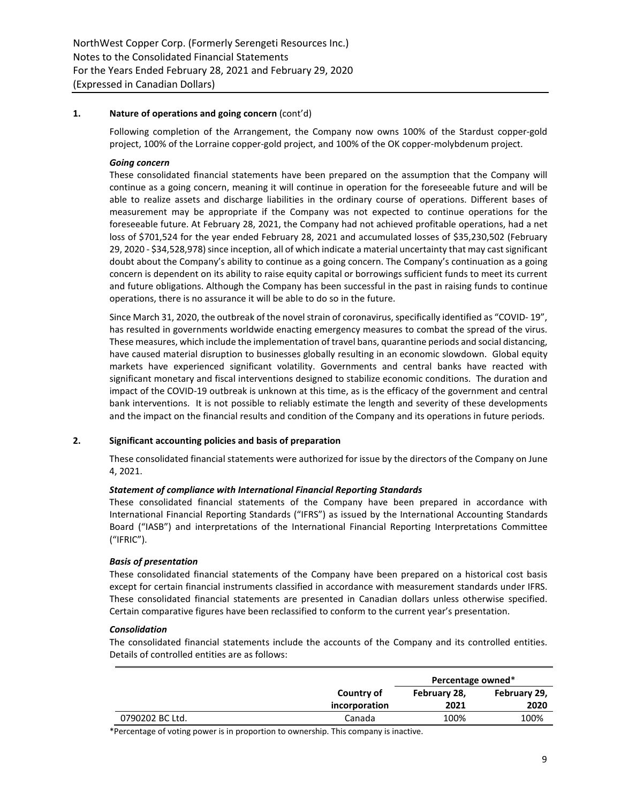# **1. Nature of operations and going concern** (cont'd)

Following completion of the Arrangement, the Company now owns 100% of the Stardust copper-gold project, 100% of the Lorraine copper-gold project, and 100% of the OK copper-molybdenum project.

## *Going concern*

These consolidated financial statements have been prepared on the assumption that the Company will continue as a going concern, meaning it will continue in operation for the foreseeable future and will be able to realize assets and discharge liabilities in the ordinary course of operations. Different bases of measurement may be appropriate if the Company was not expected to continue operations for the foreseeable future. At February 28, 2021, the Company had not achieved profitable operations, had a net loss of \$701,524 for the year ended February 28, 2021 and accumulated losses of \$35,230,502 (February 29, 2020 - \$34,528,978) since inception, all of which indicate a material uncertainty that may cast significant doubt about the Company's ability to continue as a going concern. The Company's continuation as a going concern is dependent on its ability to raise equity capital or borrowings sufficient funds to meet its current and future obligations. Although the Company has been successful in the past in raising funds to continue operations, there is no assurance it will be able to do so in the future.

Since March 31, 2020, the outbreak of the novel strain of coronavirus, specifically identified as "COVID- 19", has resulted in governments worldwide enacting emergency measures to combat the spread of the virus. These measures, which include the implementation of travel bans, quarantine periods and social distancing, have caused material disruption to businesses globally resulting in an economic slowdown. Global equity markets have experienced significant volatility. Governments and central banks have reacted with significant monetary and fiscal interventions designed to stabilize economic conditions. The duration and impact of the COVID-19 outbreak is unknown at this time, as is the efficacy of the government and central bank interventions. It is not possible to reliably estimate the length and severity of these developments and the impact on the financial results and condition of the Company and its operations in future periods.

# **2. Significant accounting policies and basis of preparation**

These consolidated financial statements were authorized for issue by the directors of the Company on June 4, 2021.

## *Statement of compliance with International Financial Reporting Standards*

These consolidated financial statements of the Company have been prepared in accordance with International Financial Reporting Standards ("IFRS") as issued by the International Accounting Standards Board ("IASB") and interpretations of the International Financial Reporting Interpretations Committee ("IFRIC").

## *Basis of presentation*

These consolidated financial statements of the Company have been prepared on a historical cost basis except for certain financial instruments classified in accordance with measurement standards under IFRS. These consolidated financial statements are presented in Canadian dollars unless otherwise specified. Certain comparative figures have been reclassified to conform to the current year's presentation.

## *Consolidation*

The consolidated financial statements include the accounts of the Company and its controlled entities. Details of controlled entities are as follows:

|                 |               | Percentage owned* |              |  |  |
|-----------------|---------------|-------------------|--------------|--|--|
|                 | Country of    | February 28,      | February 29, |  |  |
|                 | incorporation | 2021              | 2020         |  |  |
| 0790202 BC Ltd. | Canada        | 100%              | 100%         |  |  |

\*Percentage of voting power is in proportion to ownership. This company is inactive.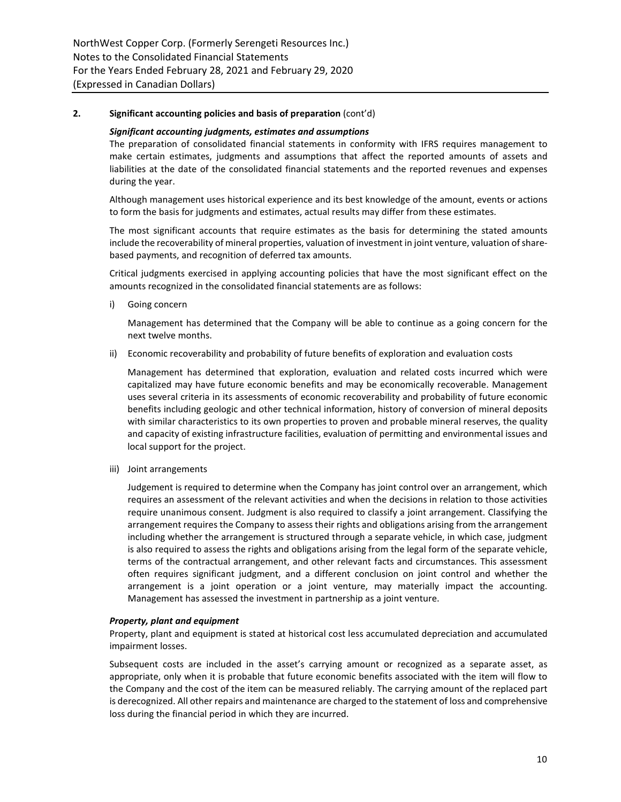#### *Significant accounting judgments, estimates and assumptions*

The preparation of consolidated financial statements in conformity with IFRS requires management to make certain estimates, judgments and assumptions that affect the reported amounts of assets and liabilities at the date of the consolidated financial statements and the reported revenues and expenses during the year.

Although management uses historical experience and its best knowledge of the amount, events or actions to form the basis for judgments and estimates, actual results may differ from these estimates.

The most significant accounts that require estimates as the basis for determining the stated amounts include the recoverability of mineral properties, valuation of investment in joint venture, valuation of sharebased payments, and recognition of deferred tax amounts.

Critical judgments exercised in applying accounting policies that have the most significant effect on the amounts recognized in the consolidated financial statements are as follows:

i) Going concern

Management has determined that the Company will be able to continue as a going concern for the next twelve months.

ii) Economic recoverability and probability of future benefits of exploration and evaluation costs

Management has determined that exploration, evaluation and related costs incurred which were capitalized may have future economic benefits and may be economically recoverable. Management uses several criteria in its assessments of economic recoverability and probability of future economic benefits including geologic and other technical information, history of conversion of mineral deposits with similar characteristics to its own properties to proven and probable mineral reserves, the quality and capacity of existing infrastructure facilities, evaluation of permitting and environmental issues and local support for the project.

iii) Joint arrangements

Judgement is required to determine when the Company has joint control over an arrangement, which requires an assessment of the relevant activities and when the decisions in relation to those activities require unanimous consent. Judgment is also required to classify a joint arrangement. Classifying the arrangement requires the Company to assess their rights and obligations arising from the arrangement including whether the arrangement is structured through a separate vehicle, in which case, judgment is also required to assess the rights and obligations arising from the legal form of the separate vehicle, terms of the contractual arrangement, and other relevant facts and circumstances. This assessment often requires significant judgment, and a different conclusion on joint control and whether the arrangement is a joint operation or a joint venture, may materially impact the accounting. Management has assessed the investment in partnership as a joint venture.

# *Property, plant and equipment*

Property, plant and equipment is stated at historical cost less accumulated depreciation and accumulated impairment losses.

Subsequent costs are included in the asset's carrying amount or recognized as a separate asset, as appropriate, only when it is probable that future economic benefits associated with the item will flow to the Company and the cost of the item can be measured reliably. The carrying amount of the replaced part is derecognized. All other repairs and maintenance are charged to the statement of loss and comprehensive loss during the financial period in which they are incurred.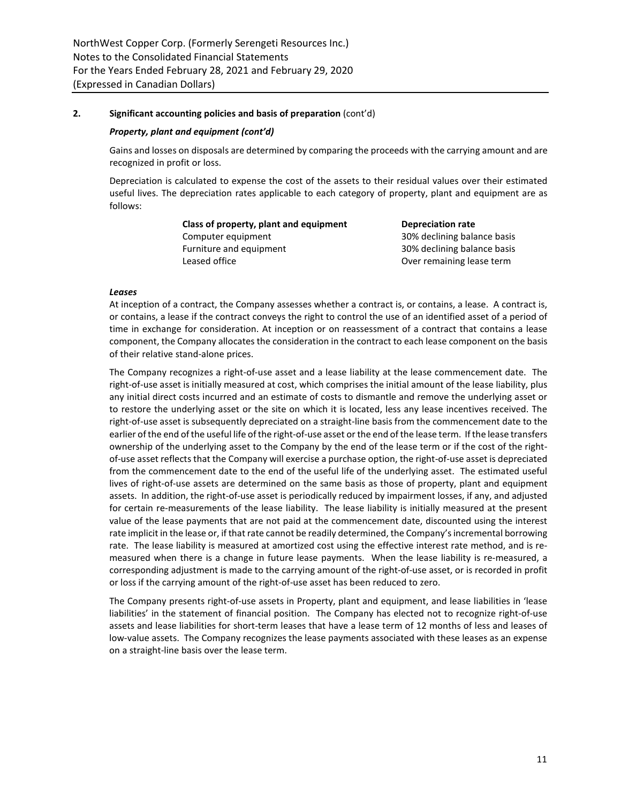## *Property, plant and equipment (cont'd)*

Gains and losses on disposals are determined by comparing the proceeds with the carrying amount and are recognized in profit or loss.

Depreciation is calculated to expense the cost of the assets to their residual values over their estimated useful lives. The depreciation rates applicable to each category of property, plant and equipment are as follows:

> **Class of property, plant and equipment Depreciation rate** Computer equipment Computer equipment Furniture and equipment 1200 and 20% declining balance basis Leased office **Containing** lease term

#### *Leases*

At inception of a contract, the Company assesses whether a contract is, or contains, a lease. A contract is, or contains, a lease if the contract conveys the right to control the use of an identified asset of a period of time in exchange for consideration. At inception or on reassessment of a contract that contains a lease component, the Company allocates the consideration in the contract to each lease component on the basis of their relative stand-alone prices.

The Company recognizes a right-of-use asset and a lease liability at the lease commencement date. The right-of-use asset is initially measured at cost, which comprises the initial amount of the lease liability, plus any initial direct costs incurred and an estimate of costs to dismantle and remove the underlying asset or to restore the underlying asset or the site on which it is located, less any lease incentives received. The right-of-use asset is subsequently depreciated on a straight-line basis from the commencement date to the earlier of the end of the useful life of the right-of-use asset or the end of the lease term. If the lease transfers ownership of the underlying asset to the Company by the end of the lease term or if the cost of the rightof-use asset reflects that the Company will exercise a purchase option, the right-of-use asset is depreciated from the commencement date to the end of the useful life of the underlying asset. The estimated useful lives of right-of-use assets are determined on the same basis as those of property, plant and equipment assets. In addition, the right-of-use asset is periodically reduced by impairment losses, if any, and adjusted for certain re-measurements of the lease liability. The lease liability is initially measured at the present value of the lease payments that are not paid at the commencement date, discounted using the interest rate implicit in the lease or, if that rate cannot be readily determined, the Company's incremental borrowing rate. The lease liability is measured at amortized cost using the effective interest rate method, and is remeasured when there is a change in future lease payments. When the lease liability is re-measured, a corresponding adjustment is made to the carrying amount of the right-of-use asset, or is recorded in profit or loss if the carrying amount of the right-of-use asset has been reduced to zero.

The Company presents right-of-use assets in Property, plant and equipment, and lease liabilities in 'lease liabilities' in the statement of financial position. The Company has elected not to recognize right-of-use assets and lease liabilities for short-term leases that have a lease term of 12 months of less and leases of low-value assets. The Company recognizes the lease payments associated with these leases as an expense on a straight-line basis over the lease term.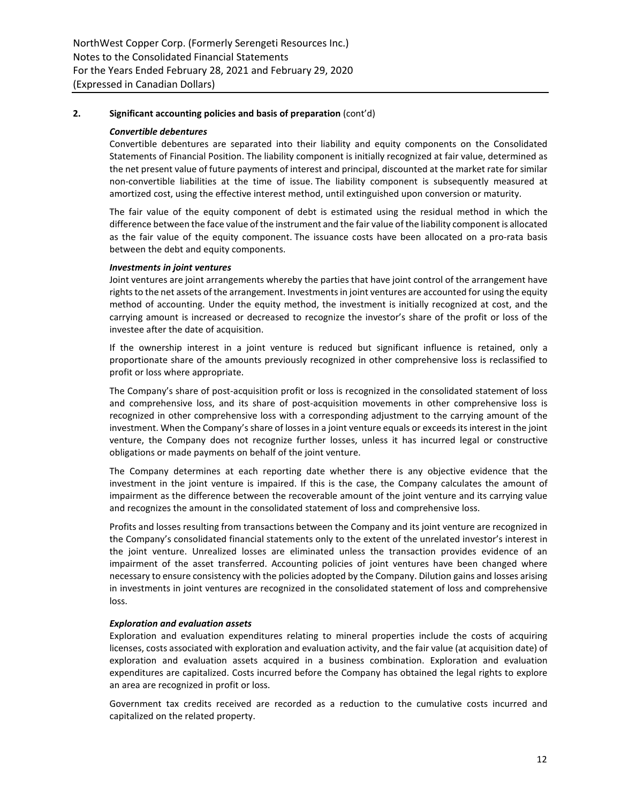## *Convertible debentures*

Convertible debentures are separated into their liability and equity components on the Consolidated Statements of Financial Position. The liability component is initially recognized at fair value, determined as the net present value of future payments of interest and principal, discounted at the market rate for similar non-convertible liabilities at the time of issue. The liability component is subsequently measured at amortized cost, using the effective interest method, until extinguished upon conversion or maturity.

The fair value of the equity component of debt is estimated using the residual method in which the difference between the face value of the instrument and the fair value of the liability component is allocated as the fair value of the equity component. The issuance costs have been allocated on a pro-rata basis between the debt and equity components.

## *Investments in joint ventures*

Joint ventures are joint arrangements whereby the parties that have joint control of the arrangement have rights to the net assets of the arrangement. Investments in joint ventures are accounted for using the equity method of accounting. Under the equity method, the investment is initially recognized at cost, and the carrying amount is increased or decreased to recognize the investor's share of the profit or loss of the investee after the date of acquisition.

If the ownership interest in a joint venture is reduced but significant influence is retained, only a proportionate share of the amounts previously recognized in other comprehensive loss is reclassified to profit or loss where appropriate.

The Company's share of post-acquisition profit or loss is recognized in the consolidated statement of loss and comprehensive loss, and its share of post-acquisition movements in other comprehensive loss is recognized in other comprehensive loss with a corresponding adjustment to the carrying amount of the investment. When the Company's share of losses in a joint venture equals or exceeds its interest in the joint venture, the Company does not recognize further losses, unless it has incurred legal or constructive obligations or made payments on behalf of the joint venture.

The Company determines at each reporting date whether there is any objective evidence that the investment in the joint venture is impaired. If this is the case, the Company calculates the amount of impairment as the difference between the recoverable amount of the joint venture and its carrying value and recognizes the amount in the consolidated statement of loss and comprehensive loss.

Profits and losses resulting from transactions between the Company and its joint venture are recognized in the Company's consolidated financial statements only to the extent of the unrelated investor's interest in the joint venture. Unrealized losses are eliminated unless the transaction provides evidence of an impairment of the asset transferred. Accounting policies of joint ventures have been changed where necessary to ensure consistency with the policies adopted by the Company. Dilution gains and losses arising in investments in joint ventures are recognized in the consolidated statement of loss and comprehensive loss.

# *Exploration and evaluation assets*

Exploration and evaluation expenditures relating to mineral properties include the costs of acquiring licenses, costs associated with exploration and evaluation activity, and the fair value (at acquisition date) of exploration and evaluation assets acquired in a business combination. Exploration and evaluation expenditures are capitalized. Costs incurred before the Company has obtained the legal rights to explore an area are recognized in profit or loss.

Government tax credits received are recorded as a reduction to the cumulative costs incurred and capitalized on the related property.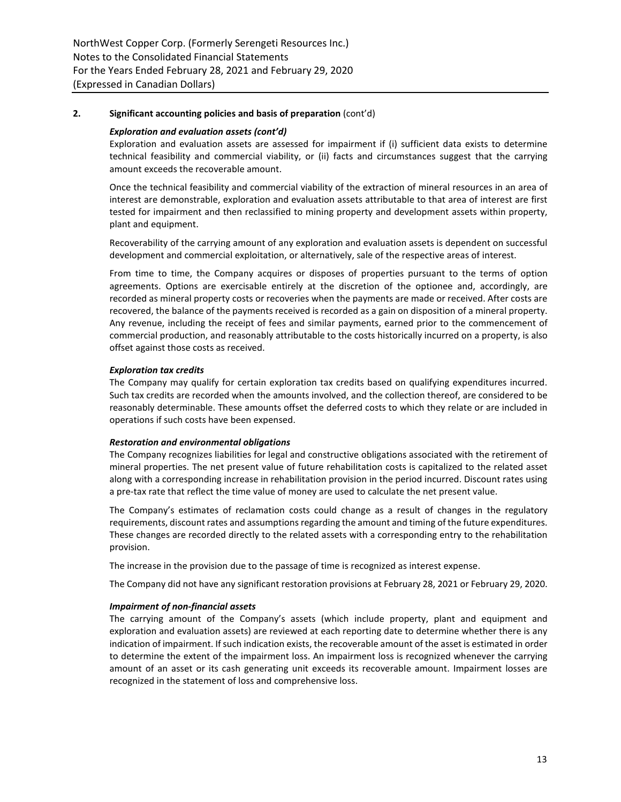#### *Exploration and evaluation assets (cont'd)*

Exploration and evaluation assets are assessed for impairment if (i) sufficient data exists to determine technical feasibility and commercial viability, or (ii) facts and circumstances suggest that the carrying amount exceeds the recoverable amount.

Once the technical feasibility and commercial viability of the extraction of mineral resources in an area of interest are demonstrable, exploration and evaluation assets attributable to that area of interest are first tested for impairment and then reclassified to mining property and development assets within property, plant and equipment.

Recoverability of the carrying amount of any exploration and evaluation assets is dependent on successful development and commercial exploitation, or alternatively, sale of the respective areas of interest.

From time to time, the Company acquires or disposes of properties pursuant to the terms of option agreements. Options are exercisable entirely at the discretion of the optionee and, accordingly, are recorded as mineral property costs or recoveries when the payments are made or received. After costs are recovered, the balance of the payments received is recorded as a gain on disposition of a mineral property. Any revenue, including the receipt of fees and similar payments, earned prior to the commencement of commercial production, and reasonably attributable to the costs historically incurred on a property, is also offset against those costs as received.

## *Exploration tax credits*

The Company may qualify for certain exploration tax credits based on qualifying expenditures incurred. Such tax credits are recorded when the amounts involved, and the collection thereof, are considered to be reasonably determinable. These amounts offset the deferred costs to which they relate or are included in operations if such costs have been expensed.

## *Restoration and environmental obligations*

The Company recognizes liabilities for legal and constructive obligations associated with the retirement of mineral properties. The net present value of future rehabilitation costs is capitalized to the related asset along with a corresponding increase in rehabilitation provision in the period incurred. Discount rates using a pre-tax rate that reflect the time value of money are used to calculate the net present value.

The Company's estimates of reclamation costs could change as a result of changes in the regulatory requirements, discount rates and assumptions regarding the amount and timing of the future expenditures. These changes are recorded directly to the related assets with a corresponding entry to the rehabilitation provision.

The increase in the provision due to the passage of time is recognized as interest expense.

The Company did not have any significant restoration provisions at February 28, 2021 or February 29, 2020.

## *Impairment of non-financial assets*

The carrying amount of the Company's assets (which include property, plant and equipment and exploration and evaluation assets) are reviewed at each reporting date to determine whether there is any indication of impairment. If such indication exists, the recoverable amount of the asset is estimated in order to determine the extent of the impairment loss. An impairment loss is recognized whenever the carrying amount of an asset or its cash generating unit exceeds its recoverable amount. Impairment losses are recognized in the statement of loss and comprehensive loss.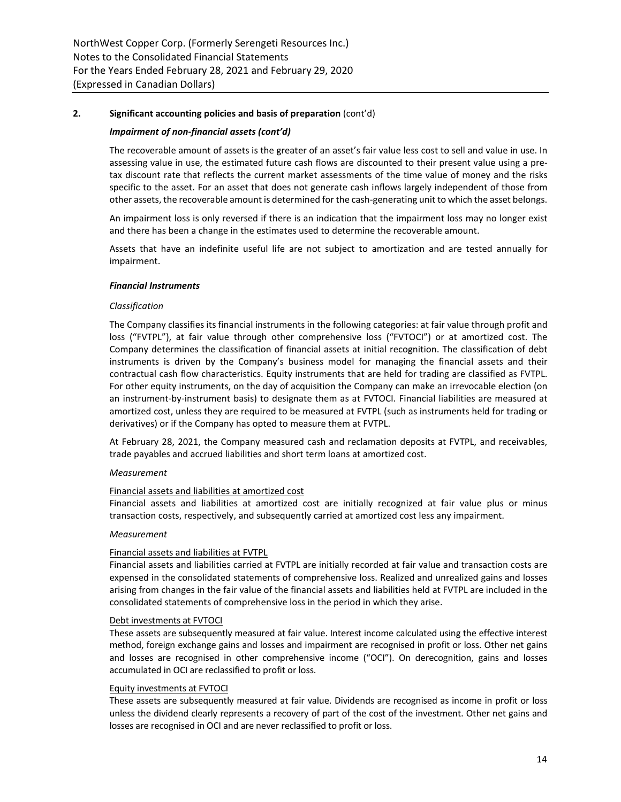## *Impairment of non-financial assets (cont'd)*

The recoverable amount of assets is the greater of an asset's fair value less cost to sell and value in use. In assessing value in use, the estimated future cash flows are discounted to their present value using a pretax discount rate that reflects the current market assessments of the time value of money and the risks specific to the asset. For an asset that does not generate cash inflows largely independent of those from other assets, the recoverable amount is determined for the cash-generating unit to which the asset belongs.

An impairment loss is only reversed if there is an indication that the impairment loss may no longer exist and there has been a change in the estimates used to determine the recoverable amount.

Assets that have an indefinite useful life are not subject to amortization and are tested annually for impairment.

#### *Financial Instruments*

#### *Classification*

The Company classifies its financial instruments in the following categories: at fair value through profit and loss ("FVTPL"), at fair value through other comprehensive loss ("FVTOCI") or at amortized cost. The Company determines the classification of financial assets at initial recognition. The classification of debt instruments is driven by the Company's business model for managing the financial assets and their contractual cash flow characteristics. Equity instruments that are held for trading are classified as FVTPL. For other equity instruments, on the day of acquisition the Company can make an irrevocable election (on an instrument-by-instrument basis) to designate them as at FVTOCI. Financial liabilities are measured at amortized cost, unless they are required to be measured at FVTPL (such as instruments held for trading or derivatives) or if the Company has opted to measure them at FVTPL.

At February 28, 2021, the Company measured cash and reclamation deposits at FVTPL, and receivables, trade payables and accrued liabilities and short term loans at amortized cost.

#### *Measurement*

#### Financial assets and liabilities at amortized cost

Financial assets and liabilities at amortized cost are initially recognized at fair value plus or minus transaction costs, respectively, and subsequently carried at amortized cost less any impairment.

#### *Measurement*

## Financial assets and liabilities at FVTPL

Financial assets and liabilities carried at FVTPL are initially recorded at fair value and transaction costs are expensed in the consolidated statements of comprehensive loss. Realized and unrealized gains and losses arising from changes in the fair value of the financial assets and liabilities held at FVTPL are included in the consolidated statements of comprehensive loss in the period in which they arise.

#### Debt investments at FVTOCI

These assets are subsequently measured at fair value. Interest income calculated using the effective interest method, foreign exchange gains and losses and impairment are recognised in profit or loss. Other net gains and losses are recognised in other comprehensive income ("OCI"). On derecognition, gains and losses accumulated in OCI are reclassified to profit or loss.

#### Equity investments at FVTOCI

These assets are subsequently measured at fair value. Dividends are recognised as income in profit or loss unless the dividend clearly represents a recovery of part of the cost of the investment. Other net gains and losses are recognised in OCI and are never reclassified to profit or loss.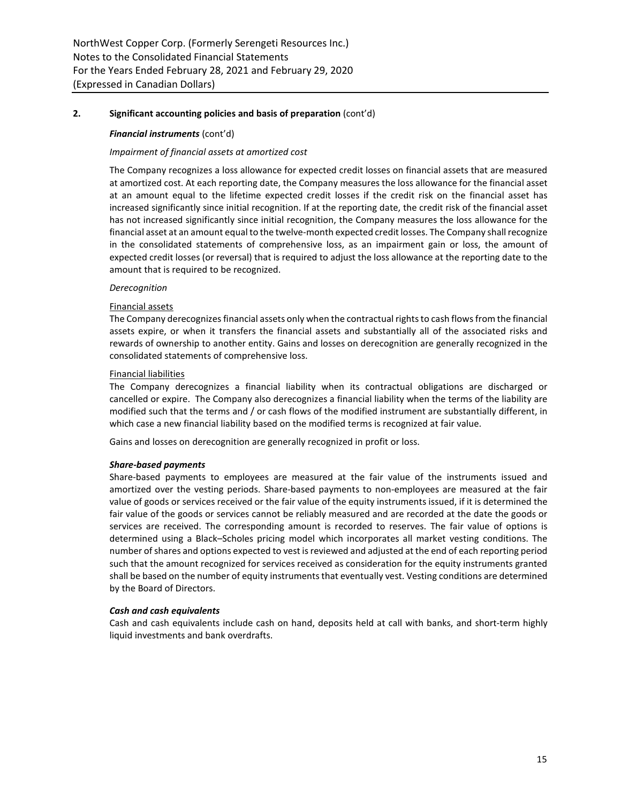## *Financial instruments* (cont'd)

## *Impairment of financial assets at amortized cost*

The Company recognizes a loss allowance for expected credit losses on financial assets that are measured at amortized cost. At each reporting date, the Company measures the loss allowance for the financial asset at an amount equal to the lifetime expected credit losses if the credit risk on the financial asset has increased significantly since initial recognition. If at the reporting date, the credit risk of the financial asset has not increased significantly since initial recognition, the Company measures the loss allowance for the financial asset at an amount equal to the twelve-month expected credit losses. The Company shall recognize in the consolidated statements of comprehensive loss, as an impairment gain or loss, the amount of expected credit losses (or reversal) that is required to adjust the loss allowance at the reporting date to the amount that is required to be recognized.

## *Derecognition*

## Financial assets

The Company derecognizes financial assets only when the contractual rights to cash flows from the financial assets expire, or when it transfers the financial assets and substantially all of the associated risks and rewards of ownership to another entity. Gains and losses on derecognition are generally recognized in the consolidated statements of comprehensive loss.

## Financial liabilities

The Company derecognizes a financial liability when its contractual obligations are discharged or cancelled or expire. The Company also derecognizes a financial liability when the terms of the liability are modified such that the terms and / or cash flows of the modified instrument are substantially different, in which case a new financial liability based on the modified terms is recognized at fair value.

Gains and losses on derecognition are generally recognized in profit or loss.

## *Share-based payments*

Share-based payments to employees are measured at the fair value of the instruments issued and amortized over the vesting periods. Share-based payments to non-employees are measured at the fair value of goods or services received or the fair value of the equity instruments issued, if it is determined the fair value of the goods or services cannot be reliably measured and are recorded at the date the goods or services are received. The corresponding amount is recorded to reserves. The fair value of options is determined using a Black–Scholes pricing model which incorporates all market vesting conditions. The number of shares and options expected to vest is reviewed and adjusted at the end of each reporting period such that the amount recognized for services received as consideration for the equity instruments granted shall be based on the number of equity instruments that eventually vest. Vesting conditions are determined by the Board of Directors.

## *Cash and cash equivalents*

Cash and cash equivalents include cash on hand, deposits held at call with banks, and short-term highly liquid investments and bank overdrafts.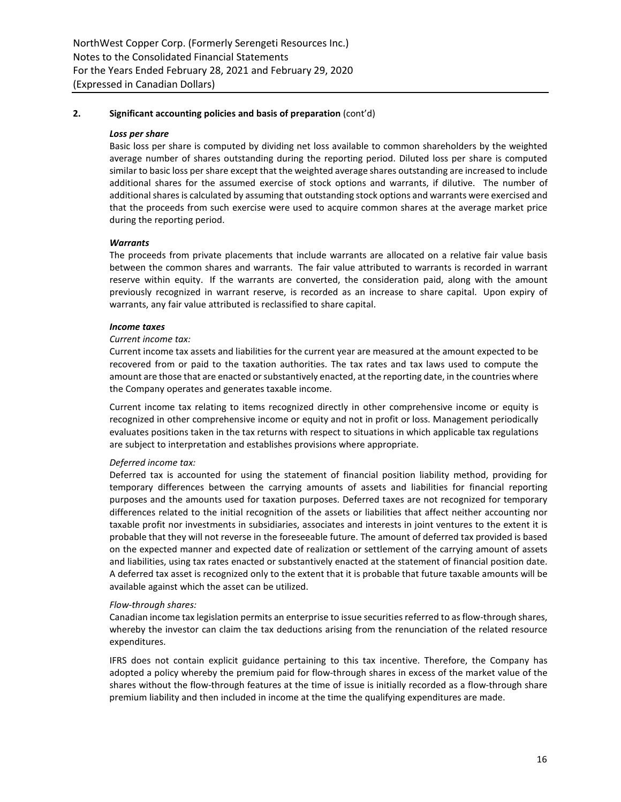#### *Loss per share*

Basic loss per share is computed by dividing net loss available to common shareholders by the weighted average number of shares outstanding during the reporting period. Diluted loss per share is computed similar to basic loss per share except that the weighted average shares outstanding are increased to include additional shares for the assumed exercise of stock options and warrants, if dilutive. The number of additional shares is calculated by assuming that outstanding stock options and warrants were exercised and that the proceeds from such exercise were used to acquire common shares at the average market price during the reporting period.

## *Warrants*

The proceeds from private placements that include warrants are allocated on a relative fair value basis between the common shares and warrants. The fair value attributed to warrants is recorded in warrant reserve within equity. If the warrants are converted, the consideration paid, along with the amount previously recognized in warrant reserve, is recorded as an increase to share capital. Upon expiry of warrants, any fair value attributed is reclassified to share capital.

#### *Income taxes*

#### *Current income tax:*

Current income tax assets and liabilities for the current year are measured at the amount expected to be recovered from or paid to the taxation authorities. The tax rates and tax laws used to compute the amount are those that are enacted or substantively enacted, at the reporting date, in the countries where the Company operates and generates taxable income.

Current income tax relating to items recognized directly in other comprehensive income or equity is recognized in other comprehensive income or equity and not in profit or loss. Management periodically evaluates positions taken in the tax returns with respect to situations in which applicable tax regulations are subject to interpretation and establishes provisions where appropriate.

## *Deferred income tax:*

Deferred tax is accounted for using the statement of financial position liability method, providing for temporary differences between the carrying amounts of assets and liabilities for financial reporting purposes and the amounts used for taxation purposes. Deferred taxes are not recognized for temporary differences related to the initial recognition of the assets or liabilities that affect neither accounting nor taxable profit nor investments in subsidiaries, associates and interests in joint ventures to the extent it is probable that they will not reverse in the foreseeable future. The amount of deferred tax provided is based on the expected manner and expected date of realization or settlement of the carrying amount of assets and liabilities, using tax rates enacted or substantively enacted at the statement of financial position date. A deferred tax asset is recognized only to the extent that it is probable that future taxable amounts will be available against which the asset can be utilized.

#### *Flow-through shares:*

Canadian income tax legislation permits an enterprise to issue securities referred to as flow-through shares, whereby the investor can claim the tax deductions arising from the renunciation of the related resource expenditures.

IFRS does not contain explicit guidance pertaining to this tax incentive. Therefore, the Company has adopted a policy whereby the premium paid for flow-through shares in excess of the market value of the shares without the flow-through features at the time of issue is initially recorded as a flow-through share premium liability and then included in income at the time the qualifying expenditures are made.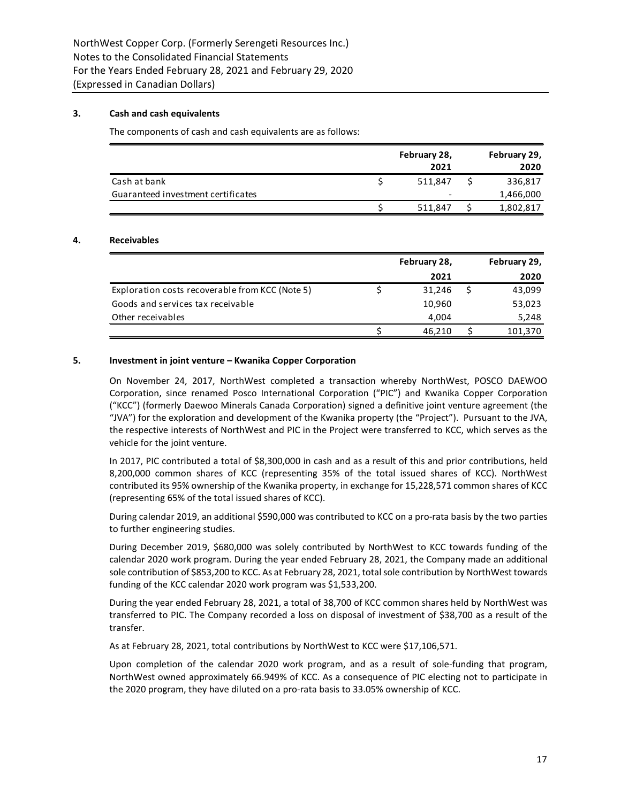# **3. Cash and cash equivalents**

The components of cash and cash equivalents are as follows:

|                                    | February 28,<br>2021     | February 29,<br>2020 |
|------------------------------------|--------------------------|----------------------|
| Cash at bank                       | 511.847                  | 336,817              |
| Guaranteed investment certificates | $\overline{\phantom{a}}$ | 1,466,000            |
|                                    | 511.847                  | 1,802,817            |

## **4. Receivables**

|                                                 | February 28, | February 29, |
|-------------------------------------------------|--------------|--------------|
|                                                 | 2021         | 2020         |
| Exploration costs recoverable from KCC (Note 5) | 31,246       | 43,099       |
| Goods and services tax receivable               | 10,960       | 53,023       |
| Other receivables                               | 4.004        | 5,248        |
|                                                 | 46.210       | 101,370      |

## **5. Investment in joint venture – Kwanika Copper Corporation**

On November 24, 2017, NorthWest completed a transaction whereby NorthWest, POSCO DAEWOO Corporation, since renamed Posco International Corporation ("PIC") and Kwanika Copper Corporation ("KCC") (formerly Daewoo Minerals Canada Corporation) signed a definitive joint venture agreement (the "JVA") for the exploration and development of the Kwanika property (the "Project"). Pursuant to the JVA, the respective interests of NorthWest and PIC in the Project were transferred to KCC, which serves as the vehicle for the joint venture.

In 2017, PIC contributed a total of \$8,300,000 in cash and as a result of this and prior contributions, held 8,200,000 common shares of KCC (representing 35% of the total issued shares of KCC). NorthWest contributed its 95% ownership of the Kwanika property, in exchange for 15,228,571 common shares of KCC (representing 65% of the total issued shares of KCC).

During calendar 2019, an additional \$590,000 was contributed to KCC on a pro-rata basis by the two parties to further engineering studies.

During December 2019, \$680,000 was solely contributed by NorthWest to KCC towards funding of the calendar 2020 work program. During the year ended February 28, 2021, the Company made an additional sole contribution of \$853,200 to KCC. As at February 28, 2021, total sole contribution by NorthWest towards funding of the KCC calendar 2020 work program was \$1,533,200.

During the year ended February 28, 2021, a total of 38,700 of KCC common shares held by NorthWest was transferred to PIC. The Company recorded a loss on disposal of investment of \$38,700 as a result of the transfer.

As at February 28, 2021, total contributions by NorthWest to KCC were \$17,106,571.

Upon completion of the calendar 2020 work program, and as a result of sole-funding that program, NorthWest owned approximately 66.949% of KCC. As a consequence of PIC electing not to participate in the 2020 program, they have diluted on a pro-rata basis to 33.05% ownership of KCC.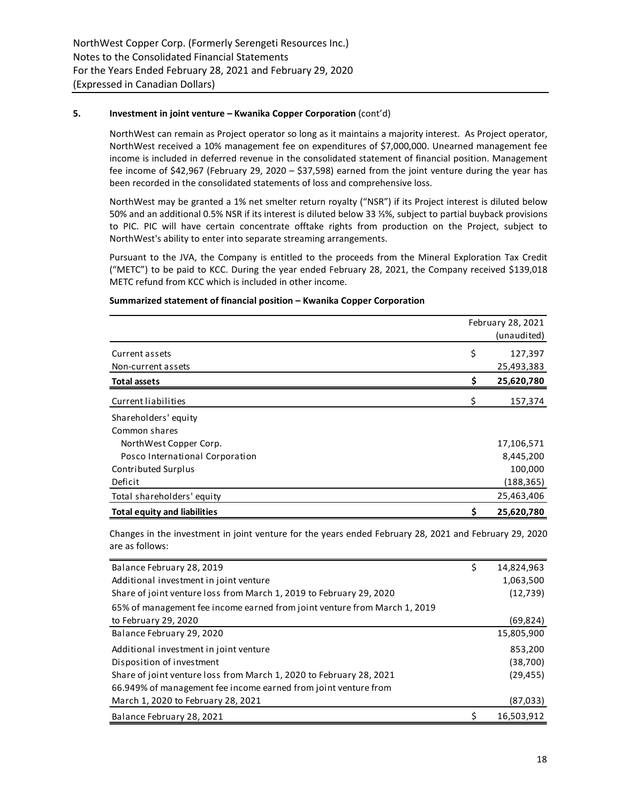## **5. Investment in joint venture – Kwanika Copper Corporation** (cont'd)

NorthWest can remain as Project operator so long as it maintains a majority interest. As Project operator, NorthWest received a 10% management fee on expenditures of \$7,000,000. Unearned management fee income is included in deferred revenue in the consolidated statement of financial position. Management fee income of \$42,967 (February 29, 2020 – \$37,598) earned from the joint venture during the year has been recorded in the consolidated statements of loss and comprehensive loss.

NorthWest may be granted a 1% net smelter return royalty ("NSR") if its Project interest is diluted below 50% and an additional 0.5% NSR if its interest is diluted below 33 ⅓%, subject to partial buyback provisions to PIC. PIC will have certain concentrate offtake rights from production on the Project, subject to NorthWest's ability to enter into separate streaming arrangements.

Pursuant to the JVA, the Company is entitled to the proceeds from the Mineral Exploration Tax Credit ("METC") to be paid to KCC. During the year ended February 28, 2021, the Company received \$139,018 METC refund from KCC which is included in other income.

|                                     | February 28, 2021 |             |  |
|-------------------------------------|-------------------|-------------|--|
|                                     |                   | (unaudited) |  |
| Current assets                      | \$                | 127,397     |  |
| Non-current assets                  |                   | 25,493,383  |  |
| <b>Total assets</b>                 | \$                | 25,620,780  |  |
| Current liabilities                 | \$                | 157,374     |  |
| Shareholders' equity                |                   |             |  |
| Common shares                       |                   |             |  |
| NorthWest Copper Corp.              |                   | 17,106,571  |  |
| Posco International Corporation     |                   | 8,445,200   |  |
| Contributed Surplus                 |                   | 100,000     |  |
| Deficit                             |                   | (188, 365)  |  |
| Total shareholders' equity          |                   | 25,463,406  |  |
| <b>Total equity and liabilities</b> | \$                | 25,620,780  |  |

## **Summarized statement of financial position – Kwanika Copper Corporation**

Changes in the investment in joint venture for the years ended February 28, 2021 and February 29, 2020 are as follows:

| Balance February 28, 2019                                                 | Ş | 14,824,963 |
|---------------------------------------------------------------------------|---|------------|
| Additional investment in joint venture                                    |   | 1,063,500  |
| Share of joint venture loss from March 1, 2019 to February 29, 2020       |   | (12, 739)  |
| 65% of management fee income earned from joint venture from March 1, 2019 |   |            |
| to February 29, 2020                                                      |   | (69,824)   |
| Balance February 29, 2020                                                 |   | 15,805,900 |
| Additional investment in joint venture                                    |   | 853,200    |
| Disposition of investment                                                 |   | (38, 700)  |
| Share of joint venture loss from March 1, 2020 to February 28, 2021       |   | (29, 455)  |
| 66.949% of management fee income earned from joint venture from           |   |            |
| March 1, 2020 to February 28, 2021                                        |   | (87, 033)  |
| Balance February 28, 2021                                                 |   | 16,503,912 |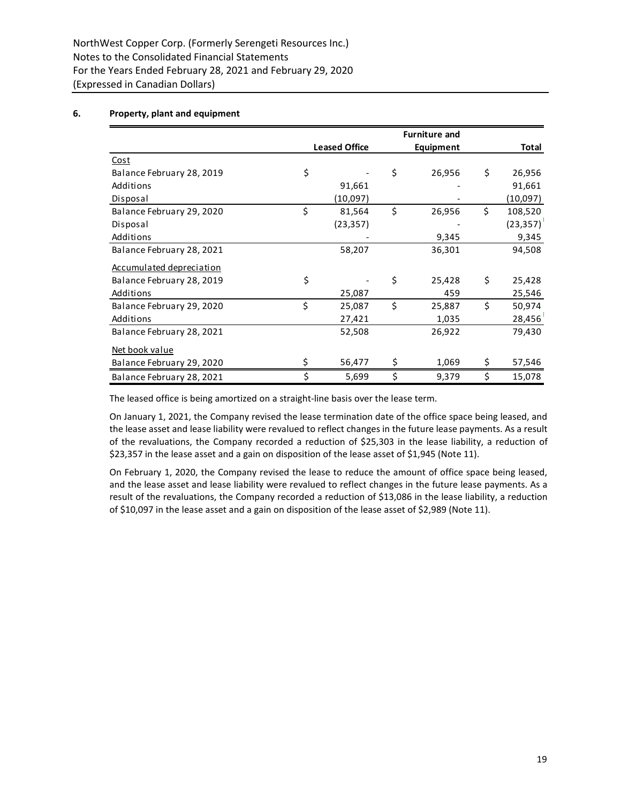# **6. Property, plant and equipment**

|                           |    |                      | <b>Furniture and</b> |                  |               |
|---------------------------|----|----------------------|----------------------|------------------|---------------|
|                           |    | <b>Leased Office</b> |                      | <b>Equipment</b> | Total         |
| <u>Cost</u>               |    |                      |                      |                  |               |
| Balance February 28, 2019 | \$ |                      | \$                   | 26,956           | \$<br>26,956  |
| Additions                 |    | 91,661               |                      |                  | 91,661        |
| Disposal                  |    | (10,097)             |                      |                  | (10,097)      |
| Balance February 29, 2020 | \$ | 81,564               | \$                   | 26,956           | \$<br>108,520 |
| Disposal                  |    | (23, 357)            |                      |                  | (23, 357)     |
| Additions                 |    |                      |                      | 9,345            | 9,345         |
| Balance February 28, 2021 |    | 58,207               |                      | 36,301           | 94,508        |
| Accumulated depreciation  |    |                      |                      |                  |               |
| Balance February 28, 2019 | \$ |                      | Ś                    | 25,428           | \$<br>25,428  |
| Additions                 |    | 25,087               |                      | 459              | 25,546        |
| Balance February 29, 2020 | \$ | 25,087               | \$                   | 25,887           | \$<br>50,974  |
| Additions                 |    | 27,421               |                      | 1,035            | 28,456        |
| Balance February 28, 2021 |    | 52,508               |                      | 26,922           | 79,430        |
| Net book value            |    |                      |                      |                  |               |
| Balance February 29, 2020 | Ś. | 56,477               | \$                   | 1,069            | \$<br>57,546  |
| Balance February 28, 2021 | \$ | 5,699                | \$                   | 9,379            | \$<br>15,078  |

The leased office is being amortized on a straight-line basis over the lease term.

On January 1, 2021, the Company revised the lease termination date of the office space being leased, and the lease asset and lease liability were revalued to reflect changes in the future lease payments. As a result of the revaluations, the Company recorded a reduction of \$25,303 in the lease liability, a reduction of \$23,357 in the lease asset and a gain on disposition of the lease asset of \$1,945 (Note 11).

On February 1, 2020, the Company revised the lease to reduce the amount of office space being leased, and the lease asset and lease liability were revalued to reflect changes in the future lease payments. As a result of the revaluations, the Company recorded a reduction of \$13,086 in the lease liability, a reduction of \$10,097 in the lease asset and a gain on disposition of the lease asset of \$2,989 (Note 11).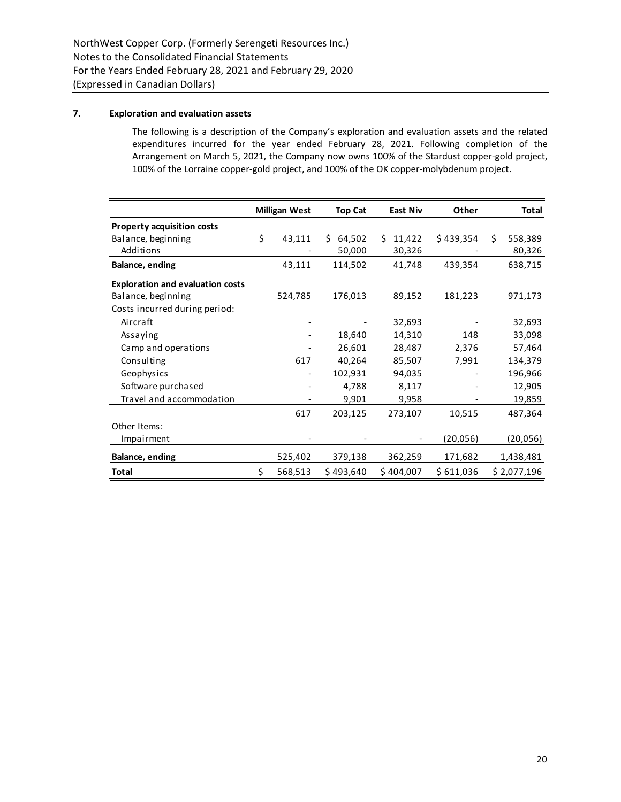# **7. Exploration and evaluation assets**

The following is a description of the Company's exploration and evaluation assets and the related expenditures incurred for the year ended February 28, 2021. Following completion of the Arrangement on March 5, 2021, the Company now owns 100% of the Stardust copper-gold project, 100% of the Lorraine copper-gold project, and 100% of the OK copper-molybdenum project.

|                                         | <b>Milligan West</b>     | <b>Top Cat</b> | East Niv     | Other     |    | Total       |
|-----------------------------------------|--------------------------|----------------|--------------|-----------|----|-------------|
| <b>Property acquisition costs</b>       |                          |                |              |           |    |             |
| Balance, beginning                      | \$<br>43,111             | Ŝ.<br>64,502   | 11,422<br>Ś. | \$439,354 | Ŝ. | 558,389     |
| Additions                               |                          | 50,000         | 30,326       |           |    | 80,326      |
| Balance, ending                         | 43,111                   | 114,502        | 41,748       | 439,354   |    | 638,715     |
| <b>Exploration and evaluation costs</b> |                          |                |              |           |    |             |
| Balance, beginning                      | 524,785                  | 176,013        | 89,152       | 181,223   |    | 971,173     |
| Costs incurred during period:           |                          |                |              |           |    |             |
| Aircraft                                |                          |                | 32,693       |           |    | 32,693      |
| Assaying                                |                          | 18,640         | 14,310       | 148       |    | 33,098      |
| Camp and operations                     |                          | 26,601         | 28,487       | 2,376     |    | 57,464      |
| Consulting                              | 617                      | 40,264         | 85,507       | 7,991     |    | 134,379     |
| Geophysics                              | $\overline{\phantom{a}}$ | 102,931        | 94,035       |           |    | 196,966     |
| Software purchased                      |                          | 4,788          | 8,117        |           |    | 12,905      |
| Travel and accommodation                |                          | 9,901          | 9,958        |           |    | 19,859      |
|                                         | 617                      | 203,125        | 273,107      | 10,515    |    | 487,364     |
| Other Items:                            |                          |                |              |           |    |             |
| Impairment                              |                          |                |              | (20,056)  |    | (20,056)    |
| <b>Balance, ending</b>                  | 525,402                  | 379,138        | 362,259      | 171,682   |    | 1,438,481   |
| <b>Total</b>                            | \$<br>568,513            | \$493,640      | \$404,007    | \$611,036 |    | \$2,077,196 |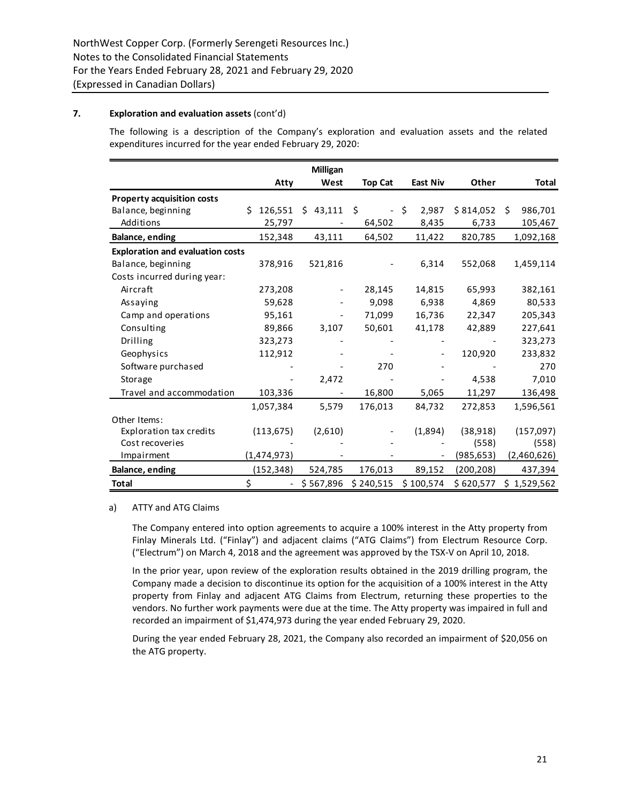# **7. Exploration and evaluation assets** (cont'd)

The following is a description of the Company's exploration and evaluation assets and the related expenditures incurred for the year ended February 29, 2020:

|                                         |                                | Milligan  |                |                 |             |             |
|-----------------------------------------|--------------------------------|-----------|----------------|-----------------|-------------|-------------|
|                                         | Atty                           | West      | <b>Top Cat</b> | <b>East Niv</b> | Other       | Total       |
| <b>Property acquisition costs</b>       |                                |           |                |                 |             |             |
| Balance, beginning                      | Ś.<br>126,551                  | \$43,111  | Ŝ.             | - \$<br>2,987   | \$814,052\$ | 986,701     |
| Additions                               | 25,797                         |           | 64,502         | 8,435           | 6,733       | 105,467     |
| <b>Balance, ending</b>                  | 152,348                        | 43,111    | 64,502         | 11,422          | 820,785     | 1,092,168   |
| <b>Exploration and evaluation costs</b> |                                |           |                |                 |             |             |
| Balance, beginning                      | 378,916                        | 521,816   |                | 6,314           | 552,068     | 1,459,114   |
| Costs incurred during year:             |                                |           |                |                 |             |             |
| Aircraft                                | 273,208                        |           | 28,145         | 14,815          | 65,993      | 382,161     |
| Assaying                                | 59,628                         |           | 9,098          | 6,938           | 4,869       | 80,533      |
| Camp and operations                     | 95,161                         |           | 71,099         | 16,736          | 22,347      | 205,343     |
| Consulting                              | 89,866                         | 3,107     | 50,601         | 41,178          | 42,889      | 227,641     |
| Drilling                                | 323,273                        |           |                |                 |             | 323,273     |
| Geophysics                              | 112,912                        |           |                |                 | 120,920     | 233,832     |
| Software purchased                      |                                |           | 270            |                 |             | 270         |
| Storage                                 |                                | 2,472     |                |                 | 4,538       | 7,010       |
| Travel and accommodation                | 103,336                        |           | 16,800         | 5,065           | 11,297      | 136,498     |
|                                         | 1,057,384                      | 5,579     | 176,013        | 84,732          | 272,853     | 1,596,561   |
| Other Items:                            |                                |           |                |                 |             |             |
| <b>Exploration tax credits</b>          | (113, 675)                     | (2,610)   |                | (1,894)         | (38, 918)   | (157,097)   |
| Cost recoveries                         |                                |           |                |                 | (558)       | (558)       |
| Impairment                              | (1,474,973)                    |           |                |                 | (985, 653)  | (2,460,626) |
| Balance, ending                         | (152, 348)                     | 524,785   | 176,013        | 89,152          | (200, 208)  | 437,394     |
| Total                                   | \$<br>$\overline{\phantom{a}}$ | \$567,896 | \$240,515      | \$100,574       | \$620,577   | \$1,529,562 |

## a) ATTY and ATG Claims

The Company entered into option agreements to acquire a 100% interest in the Atty property from Finlay Minerals Ltd. ("Finlay") and adjacent claims ("ATG Claims") from Electrum Resource Corp. ("Electrum") on March 4, 2018 and the agreement was approved by the TSX-V on April 10, 2018.

In the prior year, upon review of the exploration results obtained in the 2019 drilling program, the Company made a decision to discontinue its option for the acquisition of a 100% interest in the Atty property from Finlay and adjacent ATG Claims from Electrum, returning these properties to the vendors. No further work payments were due at the time. The Atty property was impaired in full and recorded an impairment of \$1,474,973 during the year ended February 29, 2020.

During the year ended February 28, 2021, the Company also recorded an impairment of \$20,056 on the ATG property.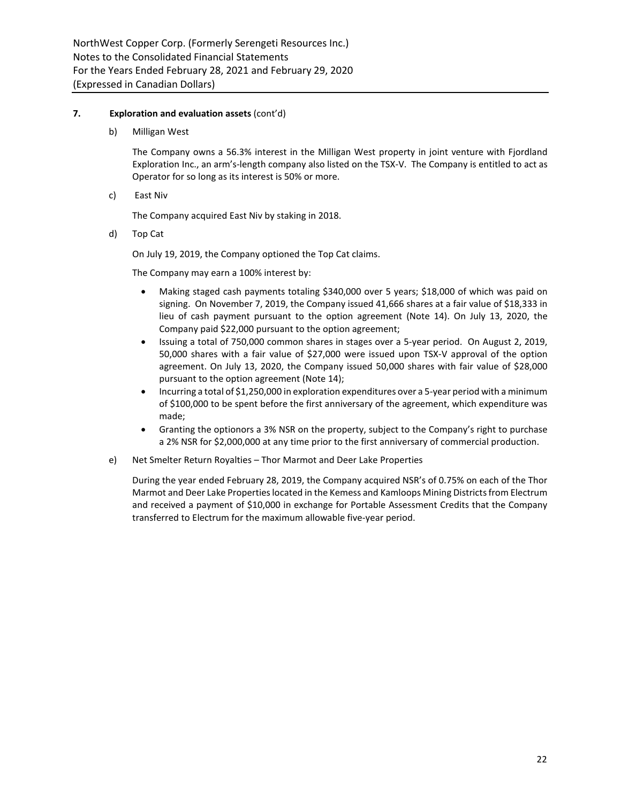## **7. Exploration and evaluation assets** (cont'd)

b) Milligan West

The Company owns a 56.3% interest in the Milligan West property in joint venture with Fjordland Exploration Inc., an arm's-length company also listed on the TSX-V. The Company is entitled to act as Operator for so long as its interest is 50% or more.

c) East Niv

The Company acquired East Niv by staking in 2018.

d) Top Cat

On July 19, 2019, the Company optioned the Top Cat claims.

The Company may earn a 100% interest by:

- Making staged cash payments totaling \$340,000 over 5 years; \$18,000 of which was paid on signing. On November 7, 2019, the Company issued 41,666 shares at a fair value of \$18,333 in lieu of cash payment pursuant to the option agreement (Note 14). On July 13, 2020, the Company paid \$22,000 pursuant to the option agreement;
- Issuing a total of 750,000 common shares in stages over a 5-year period. On August 2, 2019, 50,000 shares with a fair value of \$27,000 were issued upon TSX-V approval of the option agreement. On July 13, 2020, the Company issued 50,000 shares with fair value of \$28,000 pursuant to the option agreement (Note 14);
- Incurring a total of \$1,250,000 in exploration expenditures over a 5-year period with a minimum of \$100,000 to be spent before the first anniversary of the agreement, which expenditure was made;
- Granting the optionors a 3% NSR on the property, subject to the Company's right to purchase a 2% NSR for \$2,000,000 at any time prior to the first anniversary of commercial production.
- e) Net Smelter Return Royalties Thor Marmot and Deer Lake Properties

During the year ended February 28, 2019, the Company acquired NSR's of 0.75% on each of the Thor Marmot and Deer Lake Properties located in the Kemess and Kamloops Mining Districts from Electrum and received a payment of \$10,000 in exchange for Portable Assessment Credits that the Company transferred to Electrum for the maximum allowable five-year period.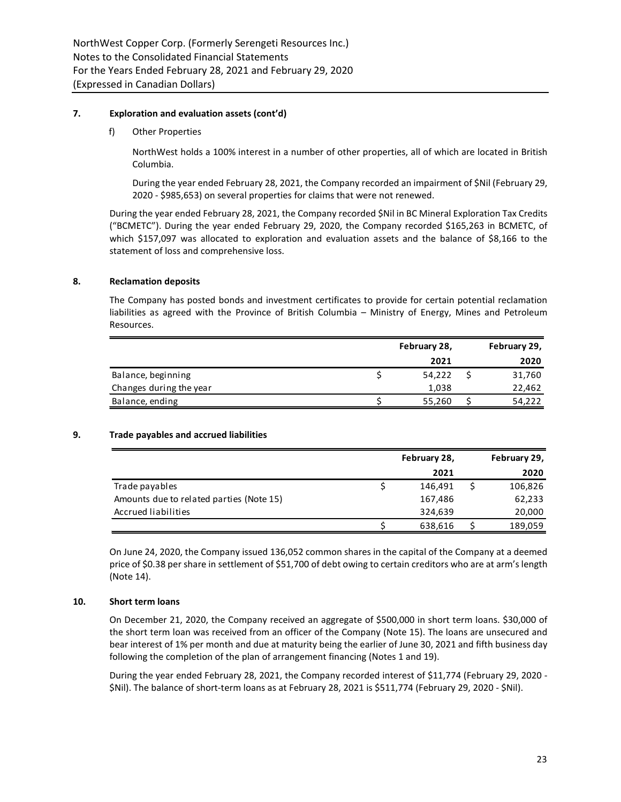## **7. Exploration and evaluation assets (cont'd)**

f) Other Properties

NorthWest holds a 100% interest in a number of other properties, all of which are located in British Columbia.

During the year ended February 28, 2021, the Company recorded an impairment of \$Nil (February 29, 2020 - \$985,653) on several properties for claims that were not renewed.

During the year ended February 28, 2021, the Company recorded \$Nil in BC Mineral Exploration Tax Credits ("BCMETC"). During the year ended February 29, 2020, the Company recorded \$165,263 in BCMETC, of which \$157,097 was allocated to exploration and evaluation assets and the balance of \$8,166 to the statement of loss and comprehensive loss.

## **8. Reclamation deposits**

The Company has posted bonds and investment certificates to provide for certain potential reclamation liabilities as agreed with the Province of British Columbia – Ministry of Energy, Mines and Petroleum Resources.

|                         | February 28, |        | February 29, |        |
|-------------------------|--------------|--------|--------------|--------|
|                         |              | 2021   |              | 2020   |
| Balance, beginning      |              | 54,222 |              | 31,760 |
| Changes during the year |              | 1,038  |              | 22,462 |
| Balance, ending         |              | 55,260 |              | 54,222 |
|                         |              |        |              |        |

## **9. Trade payables and accrued liabilities**

|                                          | February 28, | February 29, |
|------------------------------------------|--------------|--------------|
|                                          | 2021         | 2020         |
| Trade payables                           | 146,491      | 106,826      |
| Amounts due to related parties (Note 15) | 167,486      | 62,233       |
| Accrued liabilities                      | 324,639      | 20,000       |
|                                          | 638,616      | 189,059      |

On June 24, 2020, the Company issued 136,052 common shares in the capital of the Company at a deemed price of \$0.38 per share in settlement of \$51,700 of debt owing to certain creditors who are at arm's length (Note 14).

## **10. Short term loans**

On December 21, 2020, the Company received an aggregate of \$500,000 in short term loans. \$30,000 of the short term loan was received from an officer of the Company (Note 15). The loans are unsecured and bear interest of 1% per month and due at maturity being the earlier of June 30, 2021 and fifth business day following the completion of the plan of arrangement financing (Notes 1 and 19).

During the year ended February 28, 2021, the Company recorded interest of \$11,774 (February 29, 2020 - \$Nil). The balance of short-term loans as at February 28, 2021 is \$511,774 (February 29, 2020 - \$Nil).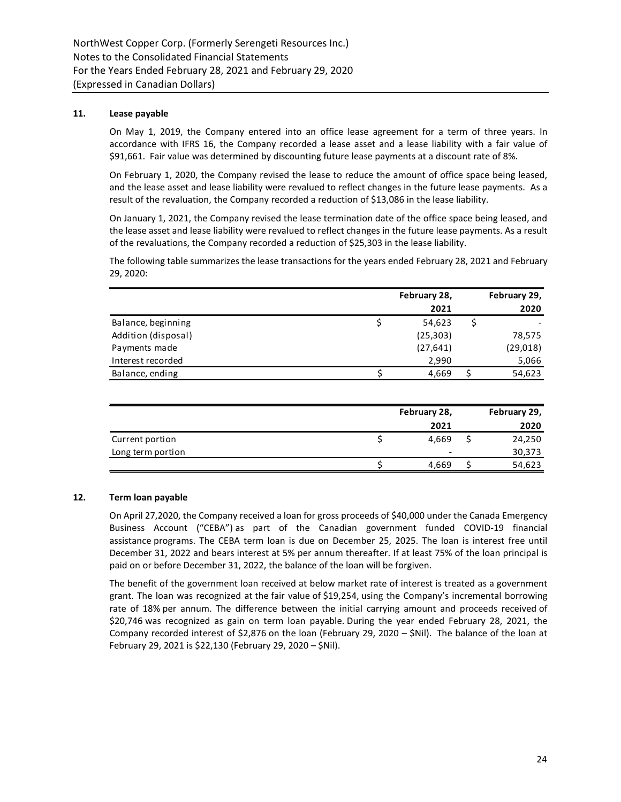## **11. Lease payable**

On May 1, 2019, the Company entered into an office lease agreement for a term of three years. In accordance with IFRS 16, the Company recorded a lease asset and a lease liability with a fair value of \$91,661. Fair value was determined by discounting future lease payments at a discount rate of 8%.

On February 1, 2020, the Company revised the lease to reduce the amount of office space being leased, and the lease asset and lease liability were revalued to reflect changes in the future lease payments. As a result of the revaluation, the Company recorded a reduction of \$13,086 in the lease liability.

On January 1, 2021, the Company revised the lease termination date of the office space being leased, and the lease asset and lease liability were revalued to reflect changes in the future lease payments. As a result of the revaluations, the Company recorded a reduction of \$25,303 in the lease liability.

The following table summarizes the lease transactions for the years ended February 28, 2021 and February 29, 2020:

|                     | February 28, | February 29, |
|---------------------|--------------|--------------|
|                     | 2021         | 2020         |
| Balance, beginning  | 54,623       |              |
| Addition (disposal) | (25, 303)    | 78,575       |
| Payments made       | (27, 641)    | (29,018)     |
| Interest recorded   | 2,990        | 5,066        |
| Balance, ending     | 4,669        | 54,623       |

|                   | February 28,             | February 29, |
|-------------------|--------------------------|--------------|
|                   | 2021                     | 2020         |
| Current portion   | 4.669                    | 24,250       |
| Long term portion | $\overline{\phantom{0}}$ | 30,373       |
|                   | 4,669                    | 54,623       |

## **12. Term loan payable**

On April 27,2020, the Company received a loan for gross proceeds of \$40,000 under the Canada Emergency Business Account ("CEBA") as part of the Canadian government funded COVID-19 financial assistance programs. The CEBA term loan is due on December 25, 2025. The loan is interest free until December 31, 2022 and bears interest at 5% per annum thereafter. If at least 75% of the loan principal is paid on or before December 31, 2022, the balance of the loan will be forgiven.

The benefit of the government loan received at below market rate of interest is treated as a government grant. The loan was recognized at the fair value of \$19,254, using the Company's incremental borrowing rate of 18% per annum. The difference between the initial carrying amount and proceeds received of \$20,746 was recognized as gain on term loan payable. During the year ended February 28, 2021, the Company recorded interest of \$2,876 on the loan (February 29, 2020 – \$Nil). The balance of the loan at February 29, 2021 is \$22,130 (February 29, 2020 – \$Nil).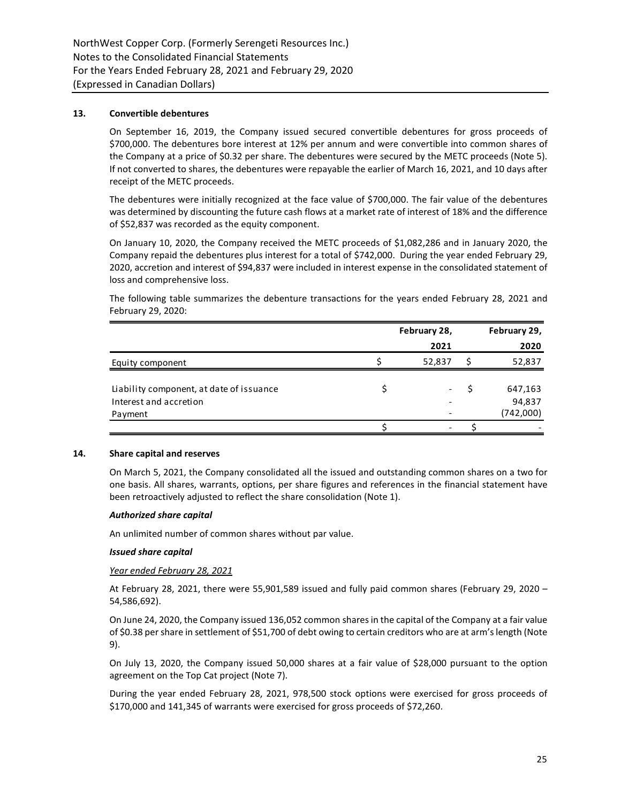## **13. Convertible debentures**

On September 16, 2019, the Company issued secured convertible debentures for gross proceeds of \$700,000. The debentures bore interest at 12% per annum and were convertible into common shares of the Company at a price of \$0.32 per share. The debentures were secured by the METC proceeds (Note 5). If not converted to shares, the debentures were repayable the earlier of March 16, 2021, and 10 days after receipt of the METC proceeds.

The debentures were initially recognized at the face value of \$700,000. The fair value of the debentures was determined by discounting the future cash flows at a market rate of interest of 18% and the difference of \$52,837 was recorded as the equity component.

On January 10, 2020, the Company received the METC proceeds of \$1,082,286 and in January 2020, the Company repaid the debentures plus interest for a total of \$742,000. During the year ended February 29, 2020, accretion and interest of \$94,837 were included in interest expense in the consolidated statement of loss and comprehensive loss.

The following table summarizes the debenture transactions for the years ended February 28, 2021 and February 29, 2020:

|                                          | February 28,             | February 29, |
|------------------------------------------|--------------------------|--------------|
|                                          | 2021                     | 2020         |
| Equity component                         | 52,837                   | 52,837       |
|                                          |                          |              |
| Liability component, at date of issuance | -                        | 647,163      |
| Interest and accretion                   |                          | 94,837       |
| Payment                                  |                          | (742,000)    |
|                                          | $\overline{\phantom{a}}$ |              |

## **14. Share capital and reserves**

On March 5, 2021, the Company consolidated all the issued and outstanding common shares on a two for one basis. All shares, warrants, options, per share figures and references in the financial statement have been retroactively adjusted to reflect the share consolidation (Note 1).

## *Authorized share capital*

An unlimited number of common shares without par value.

## *Issued share capital*

## *Year ended February 28, 2021*

At February 28, 2021, there were 55,901,589 issued and fully paid common shares (February 29, 2020 – 54,586,692).

On June 24, 2020, the Company issued 136,052 common shares in the capital of the Company at a fair value of \$0.38 per share in settlement of \$51,700 of debt owing to certain creditors who are at arm's length (Note 9).

On July 13, 2020, the Company issued 50,000 shares at a fair value of \$28,000 pursuant to the option agreement on the Top Cat project (Note 7).

During the year ended February 28, 2021, 978,500 stock options were exercised for gross proceeds of \$170,000 and 141,345 of warrants were exercised for gross proceeds of \$72,260.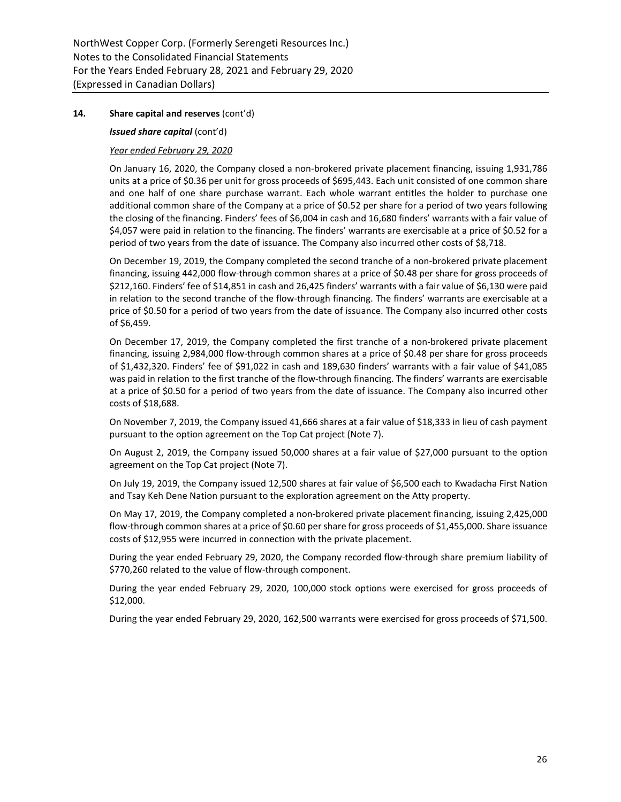## *Issued share capital* (cont'd)

# *Year ended February 29, 2020*

On January 16, 2020, the Company closed a non-brokered private placement financing, issuing 1,931,786 units at a price of \$0.36 per unit for gross proceeds of \$695,443. Each unit consisted of one common share and one half of one share purchase warrant. Each whole warrant entitles the holder to purchase one additional common share of the Company at a price of \$0.52 per share for a period of two years following the closing of the financing. Finders' fees of \$6,004 in cash and 16,680 finders' warrants with a fair value of \$4,057 were paid in relation to the financing. The finders' warrants are exercisable at a price of \$0.52 for a period of two years from the date of issuance. The Company also incurred other costs of \$8,718.

On December 19, 2019, the Company completed the second tranche of a non-brokered private placement financing, issuing 442,000 flow-through common shares at a price of \$0.48 per share for gross proceeds of \$212,160. Finders' fee of \$14,851 in cash and 26,425 finders' warrants with a fair value of \$6,130 were paid in relation to the second tranche of the flow-through financing. The finders' warrants are exercisable at a price of \$0.50 for a period of two years from the date of issuance. The Company also incurred other costs of \$6,459.

On December 17, 2019, the Company completed the first tranche of a non-brokered private placement financing, issuing 2,984,000 flow-through common shares at a price of \$0.48 per share for gross proceeds of \$1,432,320. Finders' fee of \$91,022 in cash and 189,630 finders' warrants with a fair value of \$41,085 was paid in relation to the first tranche of the flow-through financing. The finders' warrants are exercisable at a price of \$0.50 for a period of two years from the date of issuance. The Company also incurred other costs of \$18,688.

On November 7, 2019, the Company issued 41,666 shares at a fair value of \$18,333 in lieu of cash payment pursuant to the option agreement on the Top Cat project (Note 7).

On August 2, 2019, the Company issued 50,000 shares at a fair value of \$27,000 pursuant to the option agreement on the Top Cat project (Note 7).

On July 19, 2019, the Company issued 12,500 shares at fair value of \$6,500 each to Kwadacha First Nation and Tsay Keh Dene Nation pursuant to the exploration agreement on the Atty property.

On May 17, 2019, the Company completed a non-brokered private placement financing, issuing 2,425,000 flow-through common shares at a price of \$0.60 per share for gross proceeds of \$1,455,000. Share issuance costs of \$12,955 were incurred in connection with the private placement.

During the year ended February 29, 2020, the Company recorded flow-through share premium liability of \$770,260 related to the value of flow-through component.

During the year ended February 29, 2020, 100,000 stock options were exercised for gross proceeds of \$12,000.

During the year ended February 29, 2020, 162,500 warrants were exercised for gross proceeds of \$71,500.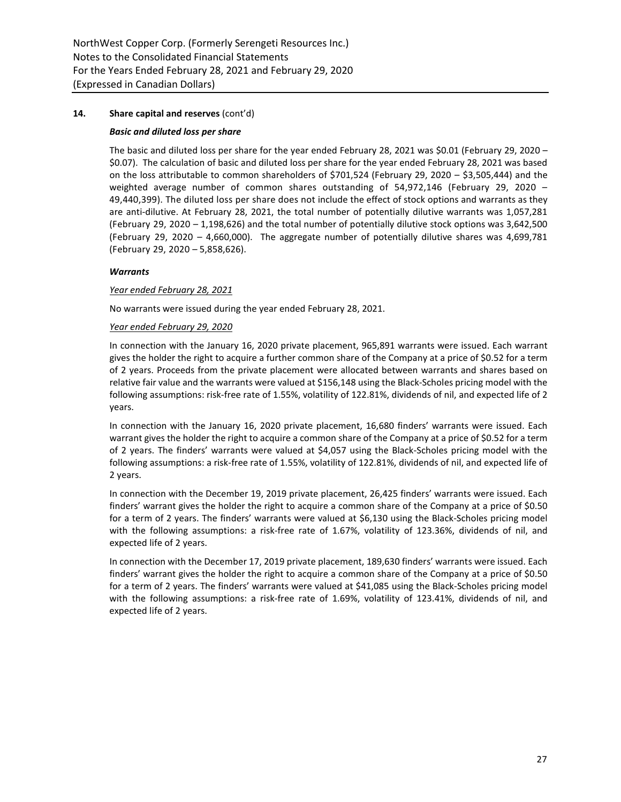## *Basic and diluted loss per share*

The basic and diluted loss per share for the year ended February 28, 2021 was \$0.01 (February 29, 2020 – \$0.07). The calculation of basic and diluted loss per share for the year ended February 28, 2021 was based on the loss attributable to common shareholders of \$701,524 (February 29, 2020 – \$3,505,444) and the weighted average number of common shares outstanding of 54,972,146 (February 29, 2020 – 49,440,399). The diluted loss per share does not include the effect of stock options and warrants as they are anti-dilutive. At February 28, 2021, the total number of potentially dilutive warrants was 1,057,281 (February 29, 2020 – 1,198,626) and the total number of potentially dilutive stock options was 3,642,500 (February 29, 2020 – 4,660,000). The aggregate number of potentially dilutive shares was 4,699,781 (February 29, 2020 – 5,858,626).

## *Warrants*

## *Year ended February 28, 2021*

No warrants were issued during the year ended February 28, 2021.

## *Year ended February 29, 2020*

In connection with the January 16, 2020 private placement, 965,891 warrants were issued. Each warrant gives the holder the right to acquire a further common share of the Company at a price of \$0.52 for a term of 2 years. Proceeds from the private placement were allocated between warrants and shares based on relative fair value and the warrants were valued at \$156,148 using the Black-Scholes pricing model with the following assumptions: risk-free rate of 1.55%, volatility of 122.81%, dividends of nil, and expected life of 2 years.

In connection with the January 16, 2020 private placement, 16,680 finders' warrants were issued. Each warrant gives the holder the right to acquire a common share of the Company at a price of \$0.52 for a term of 2 years. The finders' warrants were valued at \$4,057 using the Black-Scholes pricing model with the following assumptions: a risk-free rate of 1.55%, volatility of 122.81%, dividends of nil, and expected life of 2 years.

In connection with the December 19, 2019 private placement, 26,425 finders' warrants were issued. Each finders' warrant gives the holder the right to acquire a common share of the Company at a price of \$0.50 for a term of 2 years. The finders' warrants were valued at \$6,130 using the Black-Scholes pricing model with the following assumptions: a risk-free rate of 1.67%, volatility of 123.36%, dividends of nil, and expected life of 2 years.

In connection with the December 17, 2019 private placement, 189,630 finders' warrants were issued. Each finders' warrant gives the holder the right to acquire a common share of the Company at a price of \$0.50 for a term of 2 years. The finders' warrants were valued at \$41,085 using the Black-Scholes pricing model with the following assumptions: a risk-free rate of 1.69%, volatility of 123.41%, dividends of nil, and expected life of 2 years.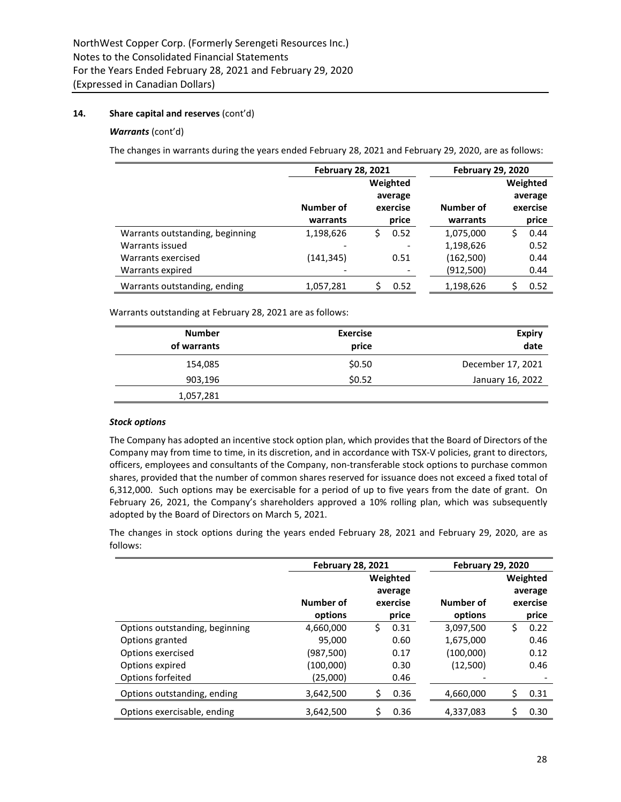## *Warrants* (cont'd)

The changes in warrants during the years ended February 28, 2021 and February 29, 2020, are as follows:

|                                 |                       | <b>February 28, 2021</b>                 |                       | <b>February 29, 2020</b>                 |
|---------------------------------|-----------------------|------------------------------------------|-----------------------|------------------------------------------|
|                                 | Number of<br>warrants | Weighted<br>average<br>exercise<br>price | Number of<br>warrants | Weighted<br>average<br>exercise<br>price |
|                                 |                       |                                          |                       |                                          |
| Warrants outstanding, beginning | 1,198,626             | 0.52<br>Ś.                               | 1,075,000             | 0.44<br>S                                |
| Warrants issued                 |                       |                                          | 1,198,626             | 0.52                                     |
| Warrants exercised              | (141,345)             | 0.51                                     | (162, 500)            | 0.44                                     |
| Warrants expired                |                       | -                                        | (912, 500)            | 0.44                                     |
| Warrants outstanding, ending    | 1,057,281             | 0.52                                     | 1,198,626             | 0.52                                     |

Warrants outstanding at February 28, 2021 are as follows:

| <b>Number</b><br>of warrants | <b>Exercise</b><br>price | <b>Expiry</b><br>date |
|------------------------------|--------------------------|-----------------------|
| 154,085                      | \$0.50                   | December 17, 2021     |
| 903,196                      | \$0.52                   | January 16, 2022      |
| 1,057,281                    |                          |                       |

## *Stock options*

The Company has adopted an incentive stock option plan, which provides that the Board of Directors of the Company may from time to time, in its discretion, and in accordance with TSX-V policies, grant to directors, officers, employees and consultants of the Company, non-transferable stock options to purchase common shares, provided that the number of common shares reserved for issuance does not exceed a fixed total of 6,312,000. Such options may be exercisable for a period of up to five years from the date of grant. On February 26, 2021, the Company's shareholders approved a 10% rolling plan, which was subsequently adopted by the Board of Directors on March 5, 2021.

The changes in stock options during the years ended February 28, 2021 and February 29, 2020, are as follows:

|                                | <b>February 28, 2021</b> |            | <b>February 29, 2020</b> |            |
|--------------------------------|--------------------------|------------|--------------------------|------------|
|                                |                          | Weighted   |                          | Weighted   |
|                                |                          | average    |                          | average    |
|                                | Number of                | exercise   | Number of                | exercise   |
|                                | options                  | price      | options                  | price      |
| Options outstanding, beginning | 4,660,000                | Ś.<br>0.31 | 3,097,500                | \$<br>0.22 |
| Options granted                | 95,000                   | 0.60       | 1,675,000                | 0.46       |
| Options exercised              | (987,500)                | 0.17       | (100,000)                | 0.12       |
| Options expired                | (100,000)                | 0.30       | (12,500)                 | 0.46       |
| Options forfeited              | (25,000)                 | 0.46       |                          |            |
| Options outstanding, ending    | 3,642,500                | 0.36<br>S  | 4,660,000                | Ś<br>0.31  |
| Options exercisable, ending    | 3,642,500                | 0.36       | 4,337,083                | \$<br>0.30 |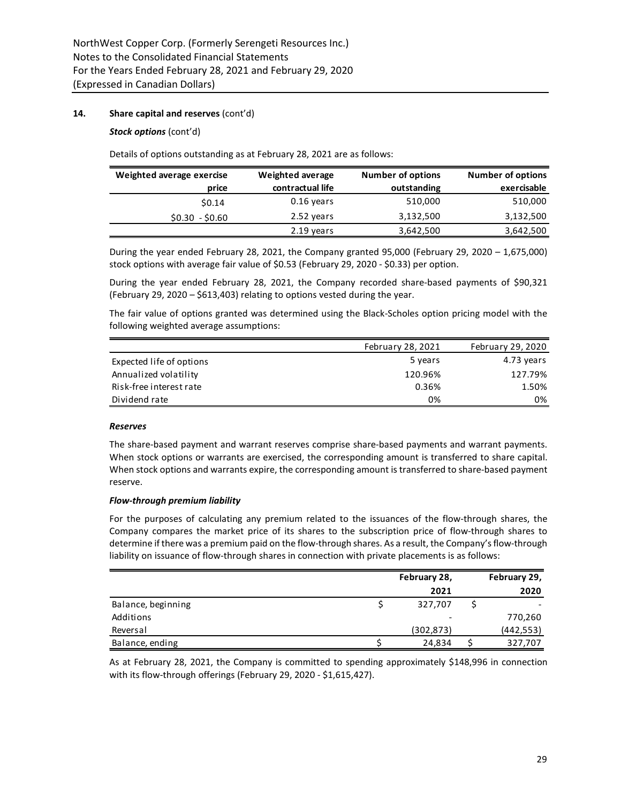## *Stock options* (cont'd)

Details of options outstanding as at February 28, 2021 are as follows:

| Weighted average exercise | Weighted average | <b>Number of options</b> | <b>Number of options</b> |
|---------------------------|------------------|--------------------------|--------------------------|
| price                     | contractual life | outstanding              | exercisable              |
| \$0.14                    | $0.16$ years     | 510,000                  | 510,000                  |
| $$0.30 - $0.60$           | 2.52 years       | 3,132,500                | 3,132,500                |
|                           | 2.19 years       | 3,642,500                | 3,642,500                |

During the year ended February 28, 2021, the Company granted 95,000 (February 29, 2020 – 1,675,000) stock options with average fair value of \$0.53 (February 29, 2020 - \$0.33) per option.

During the year ended February 28, 2021, the Company recorded share-based payments of \$90,321 (February 29, 2020 – \$613,403) relating to options vested during the year.

The fair value of options granted was determined using the Black-Scholes option pricing model with the following weighted average assumptions:

|                          | February 28, 2021 | February 29, 2020 |
|--------------------------|-------------------|-------------------|
| Expected life of options | 5 years           | 4.73 years        |
| Annualized volatility    | 120.96%           | 127.79%           |
| Risk-free interest rate  | 0.36%             | 1.50%             |
| Dividend rate            | 0%                | 0%                |

## *Reserves*

The share-based payment and warrant reserves comprise share-based payments and warrant payments. When stock options or warrants are exercised, the corresponding amount is transferred to share capital. When stock options and warrants expire, the corresponding amount is transferred to share-based payment reserve.

## *Flow-through premium liability*

For the purposes of calculating any premium related to the issuances of the flow-through shares, the Company compares the market price of its shares to the subscription price of flow-through shares to determine if there was a premium paid on the flow-through shares. As a result, the Company's flow-through liability on issuance of flow-through shares in connection with private placements is as follows:

|                    | February 28,             | February 29, |
|--------------------|--------------------------|--------------|
|                    | 2021                     | 2020         |
| Balance, beginning | 327,707                  |              |
| Additions          | $\overline{\phantom{a}}$ | 770,260      |
| Reversal           | (302, 873)               | (442, 553)   |
| Balance, ending    | 24,834                   | 327,707      |

As at February 28, 2021, the Company is committed to spending approximately \$148,996 in connection with its flow-through offerings (February 29, 2020 - \$1,615,427).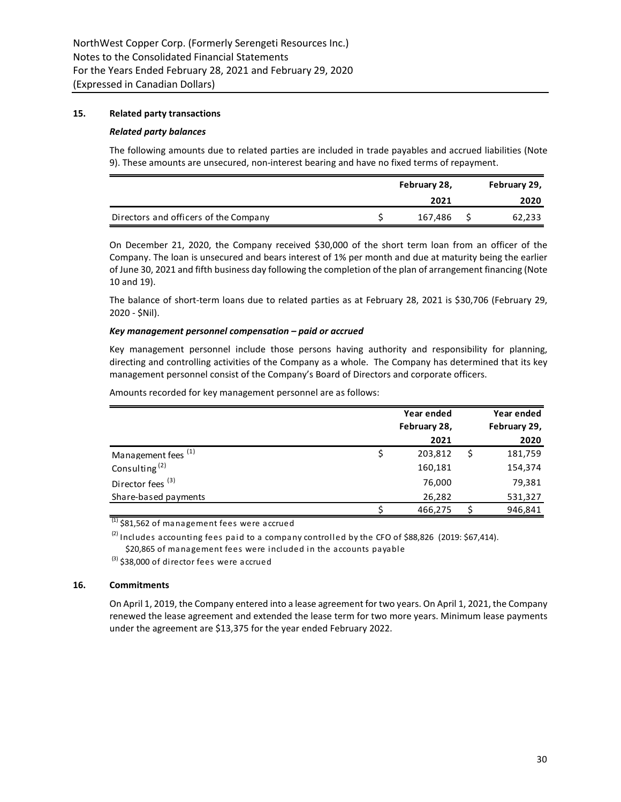# **15. Related party transactions**

## *Related party balances*

The following amounts due to related parties are included in trade payables and accrued liabilities (Note 9). These amounts are unsecured, non-interest bearing and have no fixed terms of repayment.

|                                       | February 28, |         | February 29, |        |
|---------------------------------------|--------------|---------|--------------|--------|
|                                       |              | 2021    |              | 2020   |
| Directors and officers of the Company |              | 167.486 |              | 62,233 |

On December 21, 2020, the Company received \$30,000 of the short term loan from an officer of the Company. The loan is unsecured and bears interest of 1% per month and due at maturity being the earlier of June 30, 2021 and fifth business day following the completion of the plan of arrangement financing (Note 10 and 19).

The balance of short-term loans due to related parties as at February 28, 2021 is \$30,706 (February 29, 2020 - \$Nil).

## *Key management personnel compensation – paid or accrued*

Key management personnel include those persons having authority and responsibility for planning, directing and controlling activities of the Company as a whole. The Company has determined that its key management personnel consist of the Company's Board of Directors and corporate officers.

Amounts recorded for key management personnel are as follows:

|                                | Year ended   | Year ended   |
|--------------------------------|--------------|--------------|
|                                | February 28, | February 29, |
|                                | 2021         | 2020         |
| Management fees <sup>(1)</sup> | 203,812      | 181,759      |
| Consulting <sup>(2)</sup>      | 160,181      | 154,374      |
| Director fees <sup>(3)</sup>   | 76,000       | 79,381       |
| Share-based payments           | 26,282       | 531,327      |
|                                | 466,275      | 946,841      |

 $(1)$  \$81,562 of management fees were accrued

 $^{(2)}$  Includes accounting fees paid to a company controlled by the CFO of \$88,826 (2019: \$67,414).

\$20,865 of management fees were included in the accounts payable

 $^{(3)}$  \$38,000 of director fees were accrued

## **16. Commitments**

On April 1, 2019, the Company entered into a lease agreement for two years. On April 1, 2021, the Company renewed the lease agreement and extended the lease term for two more years. Minimum lease payments under the agreement are \$13,375 for the year ended February 2022.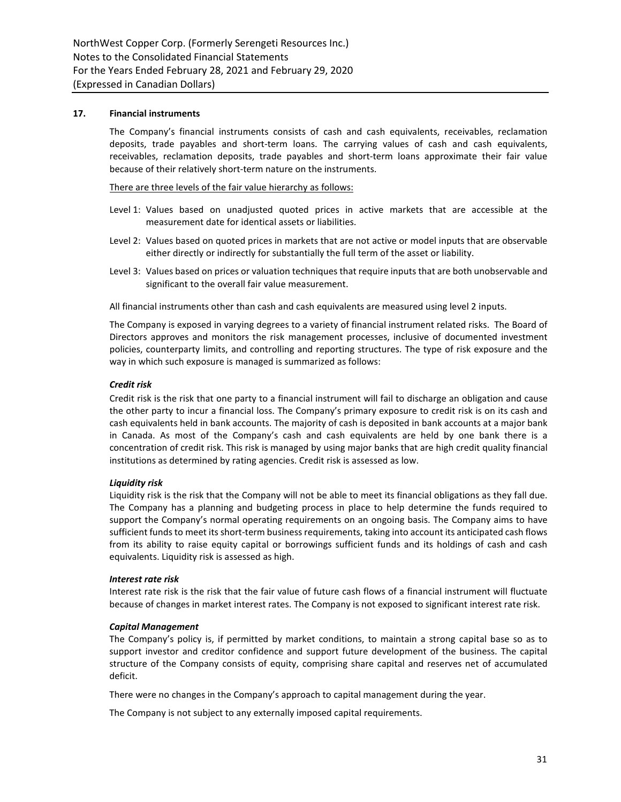# **17. Financial instruments**

The Company's financial instruments consists of cash and cash equivalents, receivables, reclamation deposits, trade payables and short-term loans. The carrying values of cash and cash equivalents, receivables, reclamation deposits, trade payables and short-term loans approximate their fair value because of their relatively short-term nature on the instruments.

There are three levels of the fair value hierarchy as follows:

- Level 1: Values based on unadjusted quoted prices in active markets that are accessible at the measurement date for identical assets or liabilities.
- Level 2: Values based on quoted prices in markets that are not active or model inputs that are observable either directly or indirectly for substantially the full term of the asset or liability.
- Level 3: Values based on prices or valuation techniques that require inputs that are both unobservable and significant to the overall fair value measurement.

All financial instruments other than cash and cash equivalents are measured using level 2 inputs.

The Company is exposed in varying degrees to a variety of financial instrument related risks. The Board of Directors approves and monitors the risk management processes, inclusive of documented investment policies, counterparty limits, and controlling and reporting structures. The type of risk exposure and the way in which such exposure is managed is summarized as follows:

## *Credit risk*

Credit risk is the risk that one party to a financial instrument will fail to discharge an obligation and cause the other party to incur a financial loss. The Company's primary exposure to credit risk is on its cash and cash equivalents held in bank accounts. The majority of cash is deposited in bank accounts at a major bank in Canada. As most of the Company's cash and cash equivalents are held by one bank there is a concentration of credit risk. This risk is managed by using major banks that are high credit quality financial institutions as determined by rating agencies. Credit risk is assessed as low.

## *Liquidity risk*

Liquidity risk is the risk that the Company will not be able to meet its financial obligations as they fall due. The Company has a planning and budgeting process in place to help determine the funds required to support the Company's normal operating requirements on an ongoing basis. The Company aims to have sufficient funds to meet its short-term business requirements, taking into account its anticipated cash flows from its ability to raise equity capital or borrowings sufficient funds and its holdings of cash and cash equivalents. Liquidity risk is assessed as high.

## *Interest rate risk*

Interest rate risk is the risk that the fair value of future cash flows of a financial instrument will fluctuate because of changes in market interest rates. The Company is not exposed to significant interest rate risk.

## *Capital Management*

The Company's policy is, if permitted by market conditions, to maintain a strong capital base so as to support investor and creditor confidence and support future development of the business. The capital structure of the Company consists of equity, comprising share capital and reserves net of accumulated deficit.

There were no changes in the Company's approach to capital management during the year.

The Company is not subject to any externally imposed capital requirements.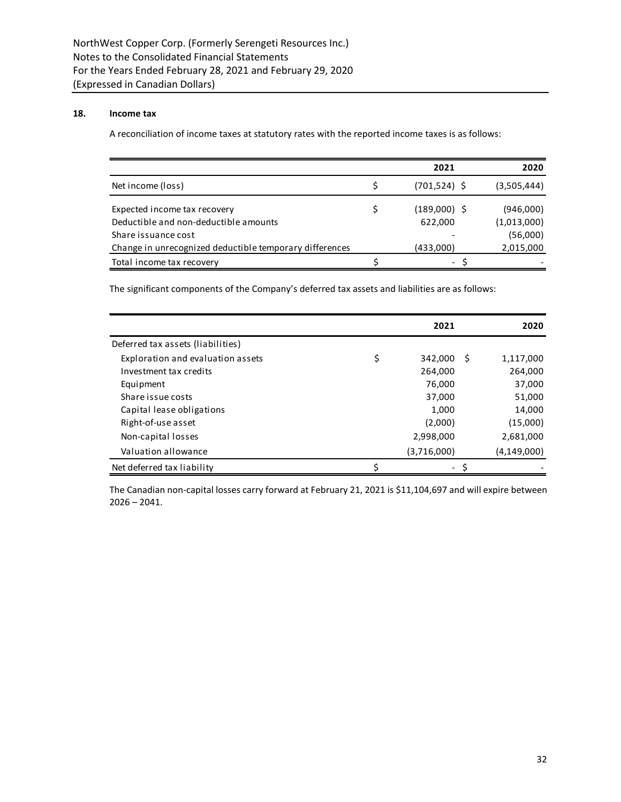# **18. Income tax**

A reconciliation of income taxes at statutory rates with the reported income taxes is as follows:

|                                                         | 2021            | 2020        |
|---------------------------------------------------------|-----------------|-------------|
| Net income (loss)                                       | $(701, 524)$ \$ | (3,505,444) |
| Expected income tax recovery                            | $(189,000)$ \$  | (946,000)   |
| Deductible and non-deductible amounts                   | 622,000         | (1,013,000) |
| Share issuance cost                                     |                 | (56,000)    |
| Change in unrecognized deductible temporary differences | (433,000)       | 2,015,000   |
| Total income tax recovery                               | $-$             |             |

The significant components of the Company's deferred tax assets and liabilities are as follows:

|                                   | 2021          |      | 2020        |
|-----------------------------------|---------------|------|-------------|
| Deferred tax assets (liabilities) |               |      |             |
| Exploration and evaluation assets | \$<br>342,000 | - \$ | 1,117,000   |
| Investment tax credits            | 264,000       |      | 264,000     |
| Equipment                         | 76,000        |      | 37,000      |
| Share issue costs                 | 37,000        |      | 51,000      |
| Capital lease obligations         | 1,000         |      | 14,000      |
| Right-of-use asset                | (2,000)       |      | (15,000)    |
| Non-capital losses                | 2,998,000     |      | 2,681,000   |
| Valuation allowance               | (3,716,000)   |      | (4,149,000) |
| Net deferred tax liability        |               |      |             |

The Canadian non-capital losses carry forward at February 21, 2021 is \$11,104,697 and will expire between  $2026 - 2041.$